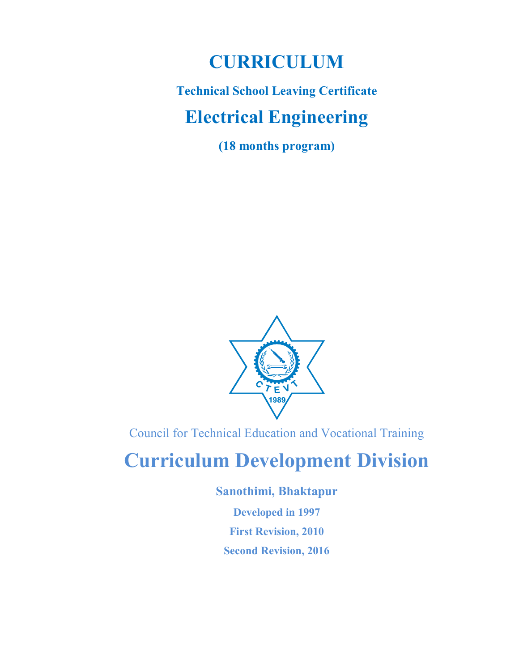# CURRICULUM

# Technical School Leaving Certificate Electrical Engineering

(18 months program)



Council for Technical Education and Vocational Training

# Curriculum Development Division

Sanothimi, Bhaktapur

Developed in 1997 First Revision, 2010 Second Revision, 2016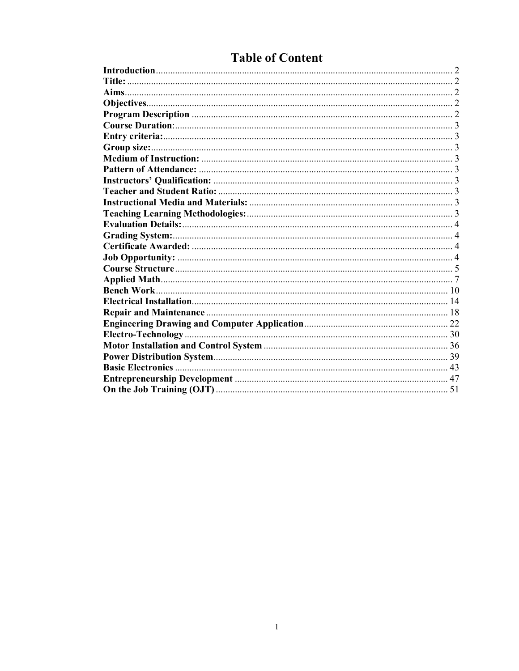| <b>Basic Electronics</b> |  |
|--------------------------|--|
|                          |  |
|                          |  |

## **Table of Content**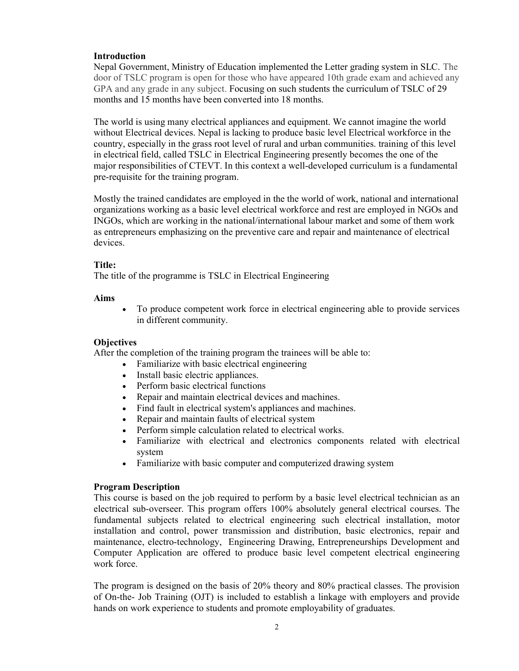### Introduction

Nepal Government, Ministry of Education implemented the Letter grading system in SLC. The door of TSLC program is open for those who have appeared 10th grade exam and achieved any GPA and any grade in any subject. Focusing on such students the curriculum of TSLC of 29 months and 15 months have been converted into 18 months.

The world is using many electrical appliances and equipment. We cannot imagine the world without Electrical devices. Nepal is lacking to produce basic level Electrical workforce in the country, especially in the grass root level of rural and urban communities. training of this level in electrical field, called TSLC in Electrical Engineering presently becomes the one of the major responsibilities of CTEVT. In this context a well-developed curriculum is a fundamental pre-requisite for the training program.

Mostly the trained candidates are employed in the the world of work, national and international organizations working as a basic level electrical workforce and rest are employed in NGOs and INGOs, which are working in the national/international labour market and some of them work as entrepreneurs emphasizing on the preventive care and repair and maintenance of electrical devices.

### Title:

The title of the programme is TSLC in Electrical Engineering

### Aims

 To produce competent work force in electrical engineering able to provide services in different community.

### **Objectives**

After the completion of the training program the trainees will be able to:

- Familiarize with basic electrical engineering
- Install basic electric appliances.
- Perform basic electrical functions
- Repair and maintain electrical devices and machines.
- Find fault in electrical system's appliances and machines.
- Repair and maintain faults of electrical system
- Perform simple calculation related to electrical works.
- Familiarize with electrical and electronics components related with electrical system
- Familiarize with basic computer and computerized drawing system

### Program Description

This course is based on the job required to perform by a basic level electrical technician as an electrical sub-overseer. This program offers 100% absolutely general electrical courses. The fundamental subjects related to electrical engineering such electrical installation, motor installation and control, power transmission and distribution, basic electronics, repair and maintenance, electro-technology, Engineering Drawing, Entrepreneurships Development and Computer Application are offered to produce basic level competent electrical engineering work force.

The program is designed on the basis of 20% theory and 80% practical classes. The provision of On-the- Job Training (OJT) is included to establish a linkage with employers and provide hands on work experience to students and promote employability of graduates.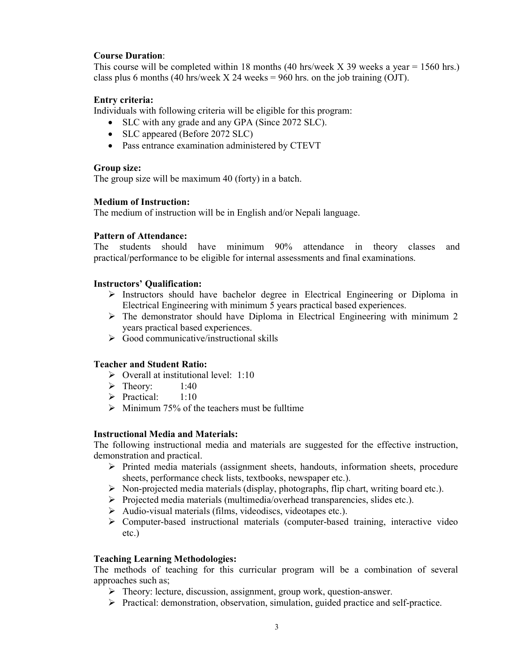### Course Duration:

This course will be completed within 18 months (40 hrs/week  $X$  39 weeks a year = 1560 hrs.) class plus 6 months (40 hrs/week  $X$  24 weeks = 960 hrs. on the job training (OJT).

### Entry criteria:

Individuals with following criteria will be eligible for this program:

- SLC with any grade and any GPA (Since 2072 SLC).
- SLC appeared (Before 2072 SLC)
- Pass entrance examination administered by CTEVT

### Group size:

The group size will be maximum 40 (forty) in a batch.

### Medium of Instruction:

The medium of instruction will be in English and/or Nepali language.

### Pattern of Attendance:

The students should have minimum 90% attendance in theory classes and practical/performance to be eligible for internal assessments and final examinations.

### Instructors' Qualification:

- $\triangleright$  Instructors should have bachelor degree in Electrical Engineering or Diploma in Electrical Engineering with minimum 5 years practical based experiences.
- $\triangleright$  The demonstrator should have Diploma in Electrical Engineering with minimum 2 years practical based experiences.
- $\triangleright$  Good communicative/instructional skills

### Teacher and Student Ratio:

- $\triangleright$  Overall at institutional level: 1:10
- $\triangleright$  Theory: 1:40
- $\triangleright$  Practical: 1:10
- $\triangleright$  Minimum 75% of the teachers must be fulltime

### Instructional Media and Materials:

The following instructional media and materials are suggested for the effective instruction, demonstration and practical.

- $\triangleright$  Printed media materials (assignment sheets, handouts, information sheets, procedure sheets, performance check lists, textbooks, newspaper etc.).
- $\triangleright$  Non-projected media materials (display, photographs, flip chart, writing board etc.).
- $\triangleright$  Projected media materials (multimedia/overhead transparencies, slides etc.).
- $\triangleright$  Audio-visual materials (films, videodiscs, videotapes etc.).
- Computer-based instructional materials (computer-based training, interactive video etc.)

### Teaching Learning Methodologies:

The methods of teaching for this curricular program will be a combination of several approaches such as;

- Theory: lecture, discussion, assignment, group work, question-answer.
- $\triangleright$  Practical: demonstration, observation, simulation, guided practice and self-practice.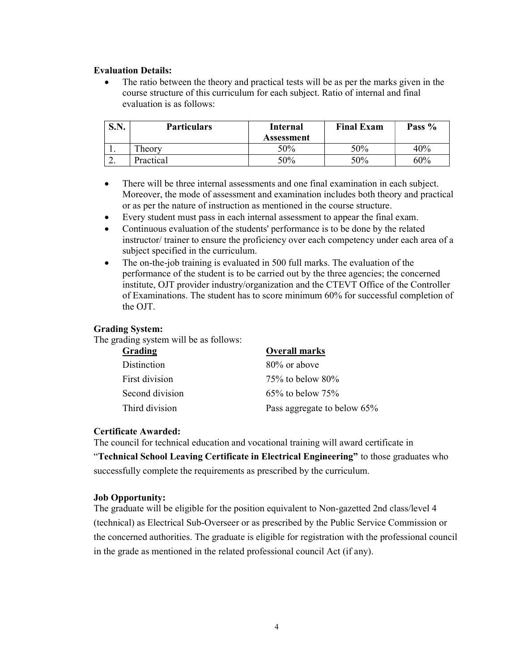#### Evaluation Details:

 The ratio between the theory and practical tests will be as per the marks given in the course structure of this curriculum for each subject. Ratio of internal and final evaluation is as follows:

| S.N.      | <b>Particulars</b> | Internal<br>Assessment | <b>Final Exam</b> | Pass % |
|-----------|--------------------|------------------------|-------------------|--------|
| . .       | Theory             | 50%                    | 50%               | 40%    |
| <u>L.</u> | Practical          | 50%                    | 50%               | 60%    |

- There will be three internal assessments and one final examination in each subject. Moreover, the mode of assessment and examination includes both theory and practical or as per the nature of instruction as mentioned in the course structure.
- Every student must pass in each internal assessment to appear the final exam.
- Continuous evaluation of the students' performance is to be done by the related instructor/ trainer to ensure the proficiency over each competency under each area of a subject specified in the curriculum.
- The on-the-job training is evaluated in 500 full marks. The evaluation of the performance of the student is to be carried out by the three agencies; the concerned institute, OJT provider industry/organization and the CTEVT Office of the Controller of Examinations. The student has to score minimum 60% for successful completion of the OJT.

#### Grading System:

The grading system will be as follows:

| Grading         | <b>Overall marks</b>        |
|-----------------|-----------------------------|
| Distinction     | 80% or above                |
| First division  | $75\%$ to below $80\%$      |
| Second division | $65\%$ to below $75\%$      |
| Third division  | Pass aggregate to below 65% |

#### Certificate Awarded:

The council for technical education and vocational training will award certificate in "Technical School Leaving Certificate in Electrical Engineering" to those graduates who successfully complete the requirements as prescribed by the curriculum.

#### Job Opportunity:

The graduate will be eligible for the position equivalent to Non-gazetted 2nd class/level 4 (technical) as Electrical Sub-Overseer or as prescribed by the Public Service Commission or the concerned authorities. The graduate is eligible for registration with the professional council in the grade as mentioned in the related professional council Act (if any).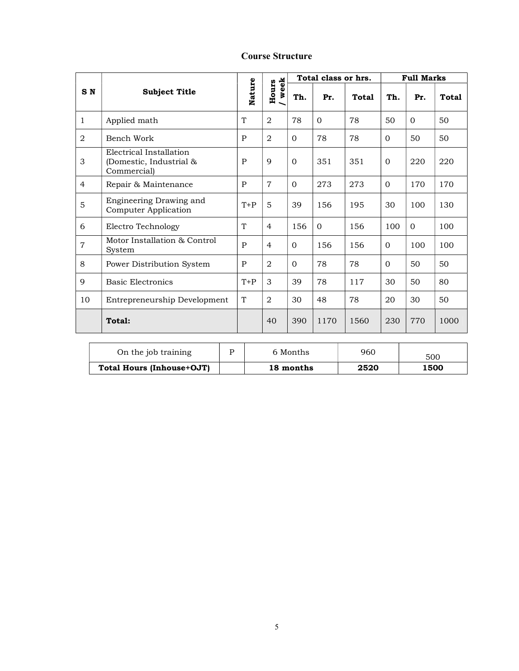|                | <b>Subject Title</b>                                              |        |                |          | Total class or hrs. |              | <b>Full Marks</b> |                |              |
|----------------|-------------------------------------------------------------------|--------|----------------|----------|---------------------|--------------|-------------------|----------------|--------------|
| S <sub>N</sub> |                                                                   | Nature | week<br>Hours  | Th.      | Pr.                 | <b>Total</b> | Th.               | Pr.            | <b>Total</b> |
| 1              | Applied math                                                      | T      | 2              | 78       | $\Omega$            | 78           | 50                | $\Omega$       | 50           |
| $\overline{2}$ | Bench Work                                                        | P      | $\overline{a}$ | $\Omega$ | 78                  | 78           | $\Omega$          | 50             | 50           |
| 3              | Electrical Installation<br>(Domestic, Industrial &<br>Commercial) | P      | 9              | $\Omega$ | 351                 | 351          | $\mathbf{0}$      | 220            | 220          |
| $\overline{4}$ | Repair & Maintenance                                              | P      | $\overline{7}$ | $\Omega$ | 273                 | 273          | $\Omega$          | 170            | 170          |
| 5              | Engineering Drawing and<br>Computer Application                   | $T+P$  | 5              | 39       | 156                 | 195          | 30                | 100            | 130          |
| 6              | Electro Technology                                                | T      | $\overline{4}$ | 156      | $\Omega$            | 156          | 100               | $\overline{0}$ | 100          |
| $\overline{7}$ | Motor Installation & Control<br>System                            | P      | $\overline{4}$ | $\Omega$ | 156                 | 156          | $\Omega$          | 100            | 100          |
| 8              | Power Distribution System                                         | P      | 2              | $\Omega$ | 78                  | 78           | $\Omega$          | 50             | 50           |
| 9              | <b>Basic Electronics</b>                                          | $T+P$  | 3              | 39       | 78                  | 117          | 30                | 50             | 80           |
| 10             | Entrepreneurship Development                                      | T      | 2              | 30       | 48                  | 78           | 20                | 30             | 50           |
|                | Total:                                                            |        | 40             | 390      | 1170                | 1560         | 230               | 770            | 1000         |
|                |                                                                   |        |                |          |                     |              |                   |                |              |

### Course Structure

| On the job training       | 6 Months  | 960  | 500  |
|---------------------------|-----------|------|------|
| Total Hours (Inhouse+OJT) | 18 months | 2520 | 1500 |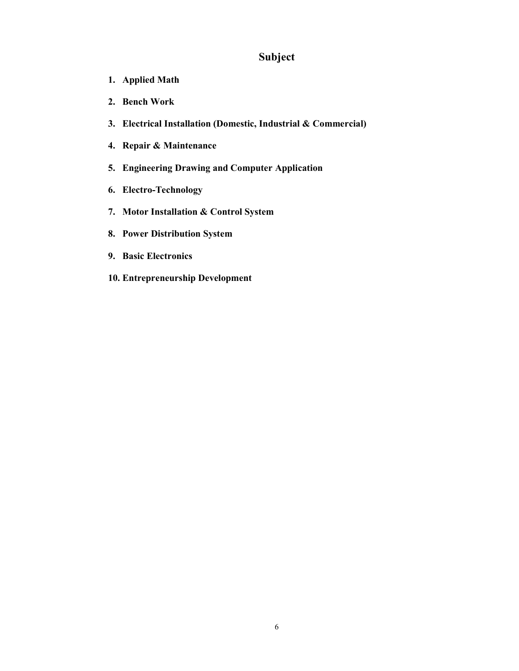### Subject

- 1. Applied Math
- 2. Bench Work
- 3. Electrical Installation (Domestic, Industrial & Commercial)
- 4. Repair & Maintenance
- 5. Engineering Drawing and Computer Application
- 6. Electro-Technology
- 7. Motor Installation & Control System
- 8. Power Distribution System
- 9. Basic Electronics
- 10. Entrepreneurship Development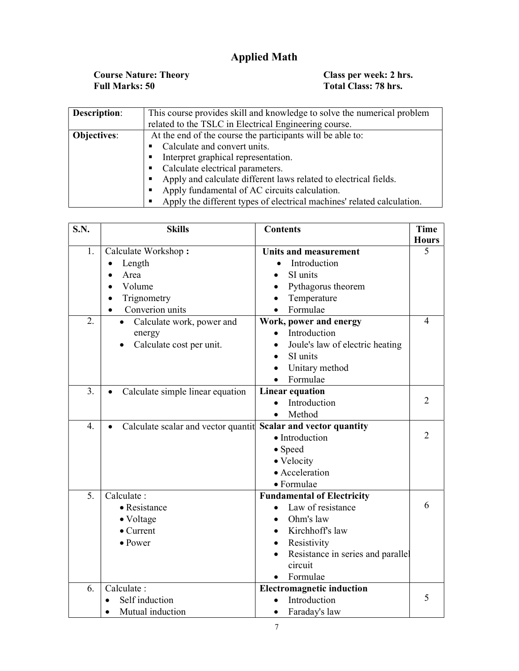## Applied Math

Course Nature: Theory Class per week: 2 hrs. Full Marks: 50 Total Class: 78 hrs.

| <b>Description:</b>                                                              | This course provides skill and knowledge to solve the numerical problem |  |  |  |  |  |  |
|----------------------------------------------------------------------------------|-------------------------------------------------------------------------|--|--|--|--|--|--|
|                                                                                  | related to the TSLC in Electrical Engineering course.                   |  |  |  |  |  |  |
| At the end of the course the participants will be able to:<br><b>Objectives:</b> |                                                                         |  |  |  |  |  |  |
|                                                                                  | Calculate and convert units.                                            |  |  |  |  |  |  |
|                                                                                  | Interpret graphical representation.                                     |  |  |  |  |  |  |
|                                                                                  | • Calculate electrical parameters.                                      |  |  |  |  |  |  |
|                                                                                  | Apply and calculate different laws related to electrical fields.        |  |  |  |  |  |  |
|                                                                                  | Apply fundamental of AC circuits calculation.                           |  |  |  |  |  |  |
|                                                                                  | Apply the different types of electrical machines' related calculation.  |  |  |  |  |  |  |

| S.N.             | <b>Skills</b>                                                               | <b>Contents</b>                   | <b>Time</b>    |
|------------------|-----------------------------------------------------------------------------|-----------------------------------|----------------|
|                  |                                                                             |                                   | <b>Hours</b>   |
| 1.               | Calculate Workshop:                                                         | <b>Units and measurement</b>      | 5              |
|                  | Length<br>$\bullet$                                                         | Introduction<br>$\bullet$         |                |
|                  | Area                                                                        | SI units                          |                |
|                  | Volume                                                                      | Pythagorus theorem<br>$\bullet$   |                |
|                  | Trignometry                                                                 | Temperature                       |                |
|                  | Converion units                                                             | Formulae                          |                |
| 2.               | Calculate work, power and                                                   | Work, power and energy            | 4              |
|                  | energy                                                                      | Introduction                      |                |
|                  | Calculate cost per unit.                                                    | Joule's law of electric heating   |                |
|                  |                                                                             | SI units                          |                |
|                  |                                                                             | Unitary method                    |                |
|                  |                                                                             | Formulae<br>$\bullet$             |                |
| 3.               | Calculate simple linear equation<br>$\bullet$                               | <b>Linear equation</b>            |                |
|                  |                                                                             | Introduction                      | $\overline{2}$ |
|                  |                                                                             | Method                            |                |
| $\overline{4}$ . | Calculate scalar and vector quantit Scalar and vector quantity<br>$\bullet$ |                                   |                |
|                  |                                                                             | • Introduction                    | $\overline{2}$ |
|                  |                                                                             | • Speed                           |                |
|                  |                                                                             | • Velocity                        |                |
|                  |                                                                             | • Acceleration                    |                |
|                  |                                                                             | · Formulae                        |                |
| 5.               | Calculate:                                                                  | <b>Fundamental of Electricity</b> |                |
|                  | $\bullet$ Resistance                                                        | Law of resistance                 | 6              |
|                  | • Voltage                                                                   | Ohm's law                         |                |
|                  | $\bullet$ Current                                                           | Kirchhoff's law<br>$\bullet$      |                |
|                  | $\bullet$ Power                                                             | Resistivity<br>$\bullet$          |                |
|                  |                                                                             | Resistance in series and parallel |                |
|                  |                                                                             | circuit                           |                |
|                  |                                                                             | Formulae                          |                |
| 6.               | Calculate:                                                                  | <b>Electromagnetic induction</b>  |                |
|                  | Self induction                                                              | Introduction                      | 5              |
|                  | Mutual induction                                                            | Faraday's law                     |                |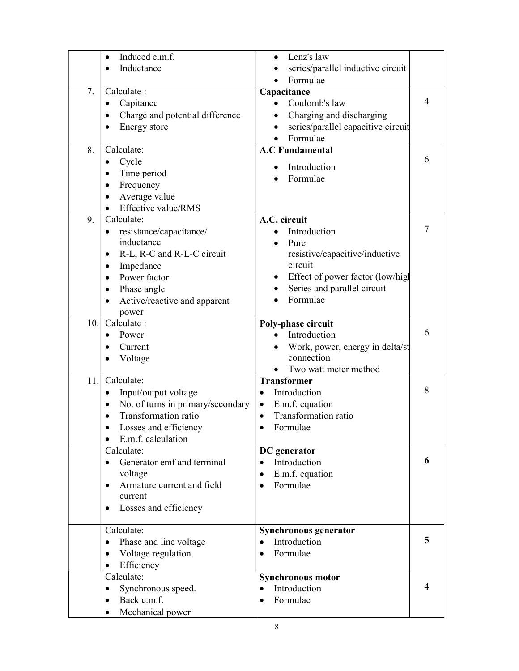|     | Induced e.m.f.<br>$\bullet$                    | Lenz's law                                      |   |
|-----|------------------------------------------------|-------------------------------------------------|---|
|     | Inductance<br>$\bullet$                        | series/parallel inductive circuit               |   |
|     |                                                | Formulae<br>$\bullet$                           |   |
| 7.  | Calculate:                                     | Capacitance                                     |   |
|     | Capitance                                      | Coulomb's law                                   | 4 |
|     | Charge and potential difference<br>$\bullet$   | Charging and discharging                        |   |
|     | Energy store<br>$\bullet$                      | series/parallel capacitive circuit<br>$\bullet$ |   |
|     |                                                | Formulae                                        |   |
| 8.  | Calculate:                                     | <b>A.C Fundamental</b>                          |   |
|     | Cycle<br>$\bullet$                             |                                                 | 6 |
|     | Time period<br>$\bullet$                       | Introduction                                    |   |
|     | Frequency<br>$\bullet$                         | Formulae                                        |   |
|     | Average value<br>$\bullet$                     |                                                 |   |
|     | Effective value/RMS<br>$\bullet$               |                                                 |   |
| 9.  | Calculate:                                     | A.C. circuit                                    |   |
|     |                                                |                                                 | 7 |
|     | resistance/capacitance/                        | Introduction                                    |   |
|     | inductance                                     | Pure                                            |   |
|     | R-L, R-C and R-L-C circuit<br>$\bullet$        | resistive/capacitive/inductive                  |   |
|     | Impedance<br>$\bullet$                         | circuit                                         |   |
|     | Power factor<br>$\bullet$                      | Effect of power factor (low/high<br>٠           |   |
|     | Phase angle<br>$\bullet$                       | Series and parallel circuit                     |   |
|     | Active/reactive and apparent                   | Formulae                                        |   |
|     | power                                          |                                                 |   |
| 10. | Calculate:                                     | Poly-phase circuit                              |   |
|     | Power<br>$\bullet$                             | Introduction                                    | 6 |
|     | Current<br>$\bullet$                           | Work, power, energy in delta/st                 |   |
|     | Voltage                                        | connection                                      |   |
|     |                                                | Two watt meter method                           |   |
| 11. | Calculate:                                     | <b>Transformer</b>                              |   |
|     | Input/output voltage<br>$\bullet$              | Introduction<br>$\bullet$                       | 8 |
|     | No. of turns in primary/secondary<br>$\bullet$ | E.m.f. equation<br>$\bullet$                    |   |
|     | Transformation ratio<br>$\bullet$              | Transformation ratio<br>$\bullet$               |   |
|     | Losses and efficiency                          | Formulae                                        |   |
|     | E.m.f. calculation                             |                                                 |   |
|     | Calculate:                                     | DC generator                                    |   |
|     | Generator emf and terminal<br>$\bullet$        | Introduction<br>$\bullet$                       | 6 |
|     | voltage                                        | E.m.f. equation<br>$\bullet$                    |   |
|     | Armature current and field<br>$\bullet$        | Formulae<br>$\bullet$                           |   |
|     | current                                        |                                                 |   |
|     | Losses and efficiency<br>$\bullet$             |                                                 |   |
|     |                                                |                                                 |   |
|     | Calculate:                                     | Synchronous generator                           |   |
|     | Phase and line voltage<br>$\bullet$            | Introduction<br>$\bullet$                       | 5 |
|     | Voltage regulation.<br>$\bullet$               | Formulae<br>$\bullet$                           |   |
|     | Efficiency<br>$\bullet$                        |                                                 |   |
|     | Calculate:                                     | <b>Synchronous motor</b>                        |   |
|     | Synchronous speed.<br>$\bullet$                | Introduction<br>$\bullet$                       | 4 |
|     | Back e.m.f.<br>$\bullet$                       | Formulae<br>$\bullet$                           |   |
|     | Mechanical power                               |                                                 |   |
|     |                                                |                                                 |   |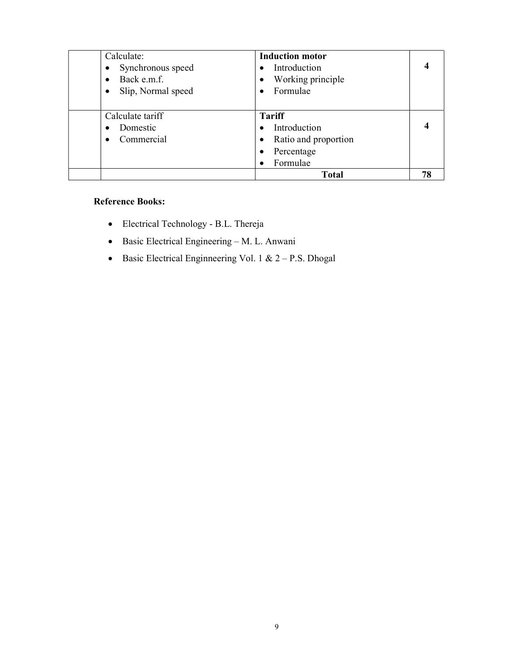| Calculate:                      | <b>Induction motor</b> |    |
|---------------------------------|------------------------|----|
| Synchronous speed<br>$\bullet$  | Introduction           |    |
| Back e.m.f.<br>$\bullet$        | Working principle      |    |
| Slip, Normal speed<br>$\bullet$ | Formulae               |    |
|                                 |                        |    |
| Calculate tariff                | <b>Tariff</b>          |    |
| Domestic<br>$\bullet$           | Introduction           |    |
| Commercial<br>$\bullet$         | Ratio and proportion   |    |
|                                 | Percentage             |    |
|                                 | Formulae               |    |
|                                 | <b>Total</b>           | 78 |

### Reference Books:

- Electrical Technology B.L. Thereja
- $\bullet$  Basic Electrical Engineering M. L. Anwani
- Basic Electrical Engineering Vol. 1 &  $2 P.S.$  Dhogal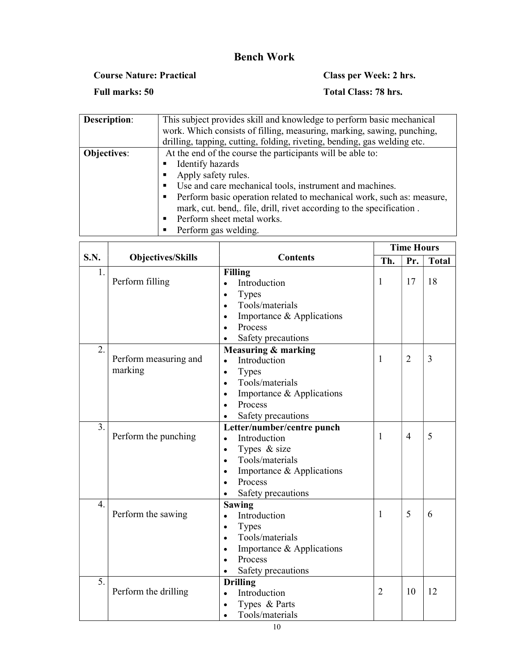### Bench Work

Course Nature: Practical Class per Week: 2 hrs.

Full marks: 50 Total Class: 78 hrs.

| Description:       | This subject provides skill and knowledge to perform basic mechanical    |  |  |  |  |  |  |
|--------------------|--------------------------------------------------------------------------|--|--|--|--|--|--|
|                    | work. Which consists of filling, measuring, marking, sawing, punching,   |  |  |  |  |  |  |
|                    | drilling, tapping, cutting, folding, riveting, bending, gas welding etc. |  |  |  |  |  |  |
| <b>Objectives:</b> | At the end of the course the participants will be able to:               |  |  |  |  |  |  |
|                    | Identify hazards                                                         |  |  |  |  |  |  |
|                    | Apply safety rules.                                                      |  |  |  |  |  |  |
|                    | Use and care mechanical tools, instrument and machines.                  |  |  |  |  |  |  |
|                    | Perform basic operation related to mechanical work, such as: measure,    |  |  |  |  |  |  |
|                    | mark, cut. bend,. file, drill, rivet according to the specification.     |  |  |  |  |  |  |
|                    | Perform sheet metal works.                                               |  |  |  |  |  |  |
|                    | Perform gas welding.                                                     |  |  |  |  |  |  |
|                    |                                                                          |  |  |  |  |  |  |

|                  |                          |                                        |                | <b>Time Hours</b> |                |
|------------------|--------------------------|----------------------------------------|----------------|-------------------|----------------|
| S.N.             | <b>Objectives/Skills</b> | <b>Contents</b>                        | Th.            | Pr.               | <b>Total</b>   |
| $\mathbf{1}$ .   |                          | <b>Filling</b>                         |                |                   |                |
|                  | Perform filling          | Introduction<br>$\bullet$              | $\mathbf{1}$   | 17                | 18             |
|                  |                          | <b>Types</b><br>$\bullet$              |                |                   |                |
|                  |                          | Tools/materials<br>$\bullet$           |                |                   |                |
|                  |                          | Importance & Applications<br>$\bullet$ |                |                   |                |
|                  |                          | Process                                |                |                   |                |
|                  |                          | Safety precautions                     |                |                   |                |
| 2.               |                          | <b>Measuring &amp; marking</b>         |                |                   |                |
|                  | Perform measuring and    | Introduction<br>$\bullet$              | $\mathbf{1}$   | $\overline{2}$    | $\overline{3}$ |
|                  | marking                  | <b>Types</b><br>$\bullet$              |                |                   |                |
|                  |                          | Tools/materials<br>$\bullet$           |                |                   |                |
|                  |                          | Importance & Applications<br>$\bullet$ |                |                   |                |
|                  |                          | Process                                |                |                   |                |
|                  |                          | Safety precautions                     |                |                   |                |
| 3.               |                          | Letter/number/centre punch             |                |                   |                |
|                  | Perform the punching     | Introduction<br>$\bullet$              | 1              | $\overline{4}$    | 5              |
|                  |                          | Types & size<br>$\bullet$              |                |                   |                |
|                  |                          | Tools/materials<br>$\bullet$           |                |                   |                |
|                  |                          | Importance & Applications              |                |                   |                |
|                  |                          | Process                                |                |                   |                |
|                  |                          | Safety precautions                     |                |                   |                |
| $\overline{4}$ . |                          | <b>Sawing</b>                          |                |                   |                |
|                  | Perform the sawing       | Introduction<br>$\bullet$              | $\mathbf{1}$   | 5                 | 6              |
|                  |                          | <b>Types</b><br>$\bullet$              |                |                   |                |
|                  |                          | Tools/materials<br>$\bullet$           |                |                   |                |
|                  |                          | Importance & Applications<br>$\bullet$ |                |                   |                |
|                  |                          | Process                                |                |                   |                |
|                  |                          | Safety precautions                     |                |                   |                |
| 5.               |                          | <b>Drilling</b>                        |                |                   |                |
|                  | Perform the drilling     | Introduction                           | $\overline{2}$ | 10                | 12             |
|                  |                          | Types & Parts                          |                |                   |                |
|                  |                          | Tools/materials                        |                |                   |                |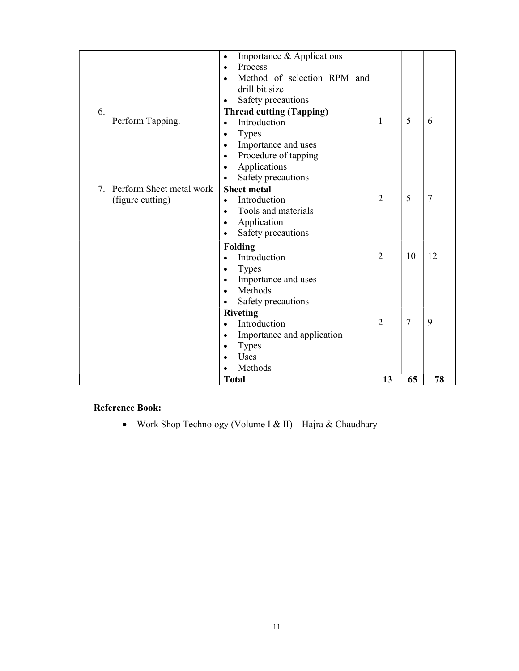|    |                          | Importance & Applications<br>$\bullet$   |                |                |    |
|----|--------------------------|------------------------------------------|----------------|----------------|----|
|    |                          | Process<br>$\bullet$                     |                |                |    |
|    |                          | Method of selection RPM and<br>$\bullet$ |                |                |    |
|    |                          | drill bit size                           |                |                |    |
|    |                          | Safety precautions<br>$\bullet$          |                |                |    |
| 6. |                          | <b>Thread cutting (Tapping)</b>          |                |                |    |
|    | Perform Tapping.         | Introduction<br>$\bullet$                | $\mathbf{1}$   | 5              | 6  |
|    |                          | <b>Types</b><br>$\bullet$                |                |                |    |
|    |                          | Importance and uses<br>$\bullet$         |                |                |    |
|    |                          | Procedure of tapping<br>$\bullet$        |                |                |    |
|    |                          | Applications<br>$\bullet$                |                |                |    |
|    |                          | Safety precautions<br>$\bullet$          |                |                |    |
| 7. | Perform Sheet metal work | <b>Sheet metal</b>                       |                |                |    |
|    | (figure cutting)         | Introduction<br>$\bullet$                | $\overline{2}$ | 5              | 7  |
|    |                          | Tools and materials<br>$\bullet$         |                |                |    |
|    |                          | Application<br>$\bullet$                 |                |                |    |
|    |                          | Safety precautions                       |                |                |    |
|    |                          | <b>Folding</b>                           |                |                |    |
|    |                          | Introduction<br>$\bullet$                | $\overline{2}$ | 10             | 12 |
|    |                          | <b>Types</b>                             |                |                |    |
|    |                          | Importance and uses                      |                |                |    |
|    |                          | Methods                                  |                |                |    |
|    |                          | Safety precautions                       |                |                |    |
|    |                          | <b>Riveting</b>                          |                |                |    |
|    |                          | Introduction                             | $\overline{2}$ | $\overline{7}$ | 9  |
|    |                          | Importance and application<br>$\bullet$  |                |                |    |
|    |                          | <b>Types</b><br>$\bullet$                |                |                |    |
|    |                          | Uses                                     |                |                |    |
|    |                          | Methods                                  |                |                |    |
|    |                          | <b>Total</b>                             | 13             | 65             | 78 |

### Reference Book:

Work Shop Technology (Volume I & II) – Hajra & Chaudhary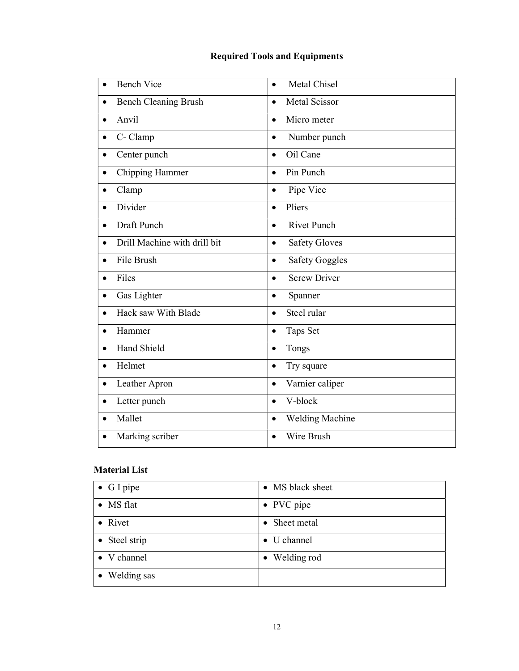### Required Tools and Equipments

| <b>Bench Vice</b>            | Metal Chisel<br>$\bullet$          |
|------------------------------|------------------------------------|
| <b>Bench Cleaning Brush</b>  | <b>Metal Scissor</b><br>$\bullet$  |
| Anvil<br>$\bullet$           | Micro meter<br>$\bullet$           |
| C- Clamp                     | Number punch<br>$\bullet$          |
| Center punch                 | Oil Cane<br>$\bullet$              |
| Chipping Hammer              | Pin Punch<br>$\bullet$             |
| Clamp<br>$\bullet$           | Pipe Vice<br>$\bullet$             |
| Divider                      | Pliers<br>$\bullet$                |
| Draft Punch                  | <b>Rivet Punch</b><br>$\bullet$    |
| Drill Machine with drill bit | <b>Safety Gloves</b><br>$\bullet$  |
| File Brush                   | <b>Safety Goggles</b><br>$\bullet$ |
| Files<br>$\bullet$           | <b>Screw Driver</b><br>$\bullet$   |
| Gas Lighter<br>$\bullet$     | Spanner<br>$\bullet$               |
| Hack saw With Blade          | Steel rular<br>$\bullet$           |
| Hammer                       | Taps Set<br>$\bullet$              |
| <b>Hand Shield</b>           | Tongs<br>$\bullet$                 |
| Helmet<br>$\bullet$          | Try square<br>$\bullet$            |
| Leather Apron<br>$\bullet$   | Varnier caliper<br>$\bullet$       |
| Letter punch                 | V-block<br>$\bullet$               |
| Mallet                       | Welding Machine<br>$\bullet$       |
| Marking scriber              | Wire Brush<br>$\bullet$            |

### Material List

| $\bullet$ G I pipe | • MS black sheet |
|--------------------|------------------|
| • MS flat          | • PVC pipe       |
| • Rivet            | • Sheet metal    |
| • Steel strip      | • U channel      |
| • V channel        | • Welding rod    |
| • Welding sas      |                  |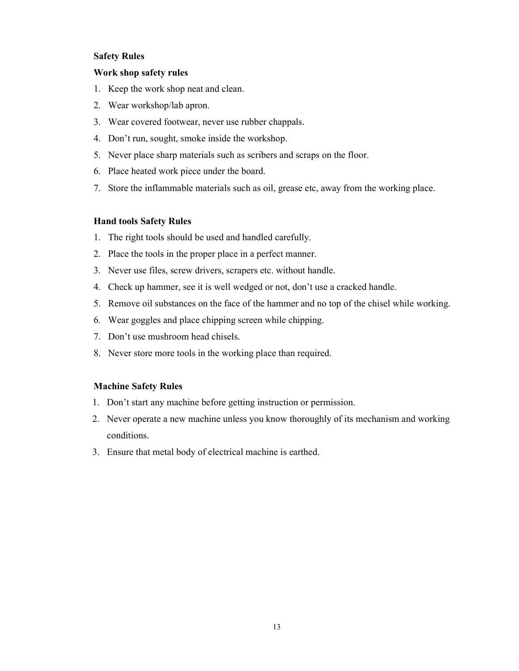### Safety Rules

### Work shop safety rules

- 1. Keep the work shop neat and clean.
- 2. Wear workshop/lab apron.
- 3. Wear covered footwear, never use rubber chappals.
- 4. Don't run, sought, smoke inside the workshop.
- 5. Never place sharp materials such as scribers and scraps on the floor.
- 6. Place heated work piece under the board.
- 7. Store the inflammable materials such as oil, grease etc, away from the working place.

### Hand tools Safety Rules

- 1. The right tools should be used and handled carefully.
- 2. Place the tools in the proper place in a perfect manner.
- 3. Never use files, screw drivers, scrapers etc. without handle.
- 4. Check up hammer, see it is well wedged or not, don't use a cracked handle.
- 5. Remove oil substances on the face of the hammer and no top of the chisel while working.
- 6. Wear goggles and place chipping screen while chipping.
- 7. Don't use mushroom head chisels.
- 8. Never store more tools in the working place than required.

### Machine Safety Rules

- 1. Don't start any machine before getting instruction or permission.
- 2. Never operate a new machine unless you know thoroughly of its mechanism and working conditions.
- 3. Ensure that metal body of electrical machine is earthed.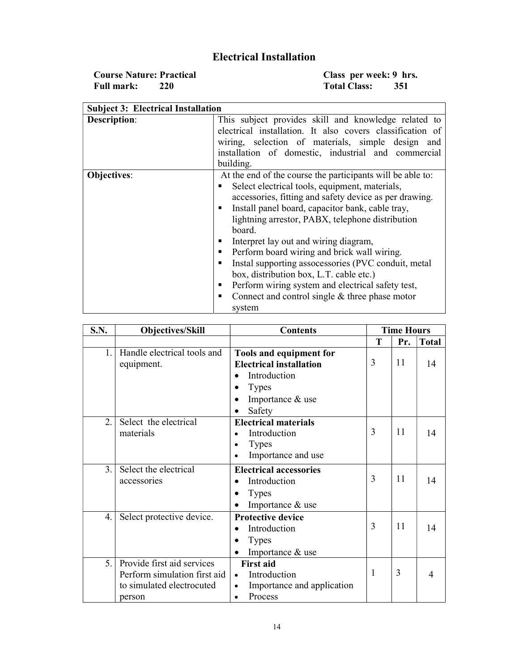### Electrical Installation

Course Nature: Practical Class per week: 9 hrs. Full mark: 220 Total Class: 351

| <b>Subject 3: Electrical Installation</b> |                                                                                                                                                                                                                                                                                                                                                                                                                                                                                                                                                                                                                                     |
|-------------------------------------------|-------------------------------------------------------------------------------------------------------------------------------------------------------------------------------------------------------------------------------------------------------------------------------------------------------------------------------------------------------------------------------------------------------------------------------------------------------------------------------------------------------------------------------------------------------------------------------------------------------------------------------------|
| <b>Description:</b>                       | This subject provides skill and knowledge related to<br>electrical installation. It also covers classification of<br>wiring, selection of materials, simple design and<br>installation of domestic, industrial and commercial<br>building.                                                                                                                                                                                                                                                                                                                                                                                          |
| <b>Objectives:</b>                        | At the end of the course the participants will be able to:<br>Select electrical tools, equipment, materials,<br>accessories, fitting and safety device as per drawing.<br>Install panel board, capacitor bank, cable tray,<br>٠<br>lightning arrestor, PABX, telephone distribution<br>board.<br>Interpret lay out and wiring diagram,<br>٠<br>Perform board wiring and brick wall wiring.<br>٠<br>Instal supporting assocessories (PVC conduit, metal<br>٠<br>box, distribution box, L.T. cable etc.)<br>Perform wiring system and electrical safety test,<br>٠<br>Connect and control single $&$ three phase motor<br>٠<br>system |

| S.N.             | <b>Objectives/Skill</b>                                                                           | <b>Contents</b>                                                                                                                      |   | <b>Time Hours</b> |              |
|------------------|---------------------------------------------------------------------------------------------------|--------------------------------------------------------------------------------------------------------------------------------------|---|-------------------|--------------|
|                  |                                                                                                   |                                                                                                                                      | T | Pr.               | <b>Total</b> |
| $1_{\cdot}$      | Handle electrical tools and<br>equipment.                                                         | Tools and equipment for<br><b>Electrical installation</b><br>Introduction<br><b>Types</b><br>Importance & use<br>$\bullet$<br>Safety | 3 | 11                | 14           |
| $\overline{2}$ . | Select the electrical<br>materials                                                                | <b>Electrical materials</b><br>Introduction<br><b>Types</b><br>٠<br>Importance and use                                               | 3 | 11                | 14           |
| 3.               | Select the electrical<br>accessories                                                              | <b>Electrical accessories</b><br>Introduction<br><b>Types</b><br>Importance & use                                                    | 3 | 11                | 14           |
| 4.               | Select protective device.                                                                         | <b>Protective device</b><br>Introduction<br><b>Types</b><br>Importance & use                                                         | 3 | 11                | 14           |
| 5.               | Provide first aid services<br>Perform simulation first aid<br>to simulated electrocuted<br>person | <b>First aid</b><br>Introduction<br>$\bullet$<br>Importance and application<br>$\bullet$<br>Process                                  | 1 | 3                 | 4            |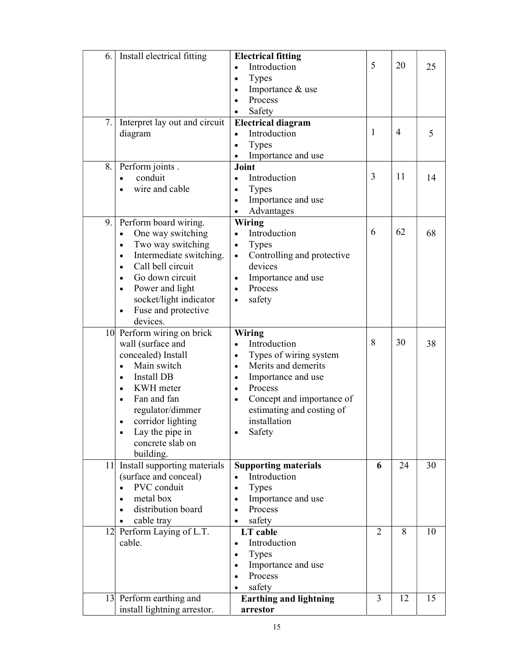| Install electrical fitting<br>6.                                                                                                                                                                                                                                                                                     | <b>Electrical fitting</b><br>Introduction<br>$\bullet$<br><b>Types</b><br>$\bullet$<br>Importance & use<br>$\bullet$<br>Process<br>Safety                                                                                                                     | 5              | 20             | 25 |
|----------------------------------------------------------------------------------------------------------------------------------------------------------------------------------------------------------------------------------------------------------------------------------------------------------------------|---------------------------------------------------------------------------------------------------------------------------------------------------------------------------------------------------------------------------------------------------------------|----------------|----------------|----|
| Interpret lay out and circuit<br>7.<br>diagram                                                                                                                                                                                                                                                                       | <b>Electrical diagram</b><br>Introduction<br>$\bullet$<br><b>Types</b><br>$\bullet$<br>Importance and use<br>$\bullet$                                                                                                                                        | 1              | $\overline{4}$ | 5  |
| 8.<br>Perform joints.<br>conduit<br>wire and cable                                                                                                                                                                                                                                                                   | Joint<br>Introduction<br>$\bullet$<br><b>Types</b><br>$\bullet$<br>Importance and use<br>$\bullet$<br>Advantages<br>$\bullet$                                                                                                                                 | 3              | 11             | 14 |
| Perform board wiring.<br>9.1<br>One way switching<br>$\bullet$<br>Two way switching<br>$\bullet$<br>Intermediate switching.<br>$\bullet$<br>Call bell circuit<br>$\bullet$<br>Go down circuit<br>$\bullet$<br>Power and light<br>$\bullet$<br>socket/light indicator<br>Fuse and protective<br>$\bullet$<br>devices. | Wiring<br>Introduction<br>$\bullet$<br><b>Types</b><br>$\bullet$<br>Controlling and protective<br>$\bullet$<br>devices<br>Importance and use<br>$\bullet$<br>Process<br>$\bullet$<br>safety<br>$\bullet$                                                      | 6              | 62             | 68 |
| 10 Perform wiring on brick<br>wall (surface and<br>concealed) Install<br>Main switch<br>$\bullet$<br>Install DB<br>$\bullet$<br>KWH meter<br>$\bullet$<br>Fan and fan<br>$\bullet$<br>regulator/dimmer<br>corridor lighting<br>$\bullet$<br>Lay the pipe in<br>concrete slab on<br>building.                         | Wiring<br>Introduction<br>Types of wiring system<br>$\bullet$<br>Merits and demerits<br>$\bullet$<br>Importance and use<br>$\bullet$<br>Process<br>$\bullet$<br>Concept and importance of<br>$\bullet$<br>estimating and costing of<br>installation<br>Safety | 8              | 30             | 38 |
| 11 Install supporting materials<br>(surface and conceal)<br>PVC conduit<br>metal box<br>$\bullet$<br>distribution board<br>$\bullet$<br>cable tray<br>$\bullet$                                                                                                                                                      | <b>Supporting materials</b><br>Introduction<br><b>Types</b><br>$\bullet$<br>Importance and use<br>$\bullet$<br>Process<br>$\bullet$<br>safety<br>$\bullet$                                                                                                    | 6              | 24             | 30 |
| 12 Perform Laying of L.T.<br>cable.                                                                                                                                                                                                                                                                                  | LT cable<br>Introduction<br>$\bullet$<br><b>Types</b><br>$\bullet$<br>Importance and use<br>$\bullet$<br>Process<br>$\bullet$<br>safety                                                                                                                       | $\overline{2}$ | 8              | 10 |
| 13 Perform earthing and<br>install lightning arrestor.                                                                                                                                                                                                                                                               | <b>Earthing and lightning</b><br>arrestor                                                                                                                                                                                                                     | $\overline{3}$ | 12             | 15 |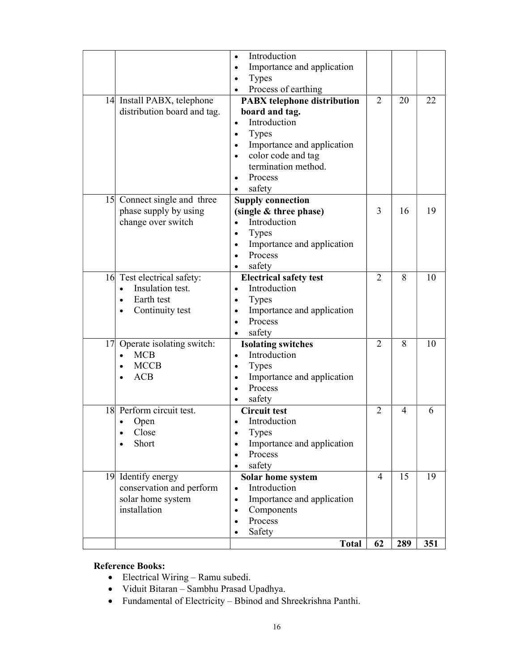|    |                                                                                                                        | Introduction<br>$\bullet$<br>Importance and application<br>$\bullet$                                                                                                                                                                                  |                             |     |     |
|----|------------------------------------------------------------------------------------------------------------------------|-------------------------------------------------------------------------------------------------------------------------------------------------------------------------------------------------------------------------------------------------------|-----------------------------|-----|-----|
|    |                                                                                                                        | Types<br>$\bullet$<br>Process of earthing                                                                                                                                                                                                             |                             |     |     |
|    | 14 Install PABX, telephone<br>distribution board and tag.                                                              | <b>PABX</b> telephone distribution<br>board and tag.<br>Introduction<br>$\bullet$<br><b>Types</b><br>$\bullet$<br>Importance and application<br>$\bullet$<br>color code and tag<br>termination method.<br>Process<br>$\bullet$<br>safety<br>$\bullet$ | $\overline{2}$              | 20  | 22  |
|    | 15 Connect single and three<br>phase supply by using<br>change over switch                                             | <b>Supply connection</b><br>(single & three phase)<br>Introduction<br><b>Types</b><br>$\bullet$<br>Importance and application<br>$\bullet$<br>Process<br>$\bullet$<br>safety                                                                          | 3                           | 16  | 19  |
|    | 16 Test electrical safety:<br>Insulation test.<br>$\bullet$<br>Earth test<br>$\bullet$<br>Continuity test<br>$\bullet$ | <b>Electrical safety test</b><br>Introduction<br>$\bullet$<br><b>Types</b><br>$\bullet$<br>Importance and application<br>$\bullet$<br>Process<br>$\bullet$<br>safety                                                                                  | $\mathcal{D}_{\mathcal{L}}$ | 8   | 10  |
|    | $\overline{17}$ Operate isolating switch:<br><b>MCB</b><br>$\bullet$<br><b>MCCB</b><br>$\bullet$<br><b>ACB</b>         | <b>Isolating switches</b><br>Introduction<br>$\bullet$<br><b>Types</b><br>$\bullet$<br>Importance and application<br>$\bullet$<br>Process<br>safety                                                                                                   | $\overline{2}$              | 8   | 10  |
| 18 | Perform circuit test.<br>Open<br>$\bullet$<br>Close<br>$\bullet$<br>Short                                              | <b>Circuit test</b><br>Introduction<br>$\bullet$<br><b>Types</b><br>٠<br>Importance and application<br>$\bullet$<br>Process<br>$\bullet$<br>safety                                                                                                    | $\overline{2}$              | 4   | 6   |
|    | 19 Identify energy<br>conservation and perform<br>solar home system<br>installation                                    | Solar home system<br>Introduction<br>$\bullet$<br>Importance and application<br>$\bullet$<br>Components<br>$\bullet$<br>Process<br>$\bullet$<br>Safety                                                                                                | $\overline{4}$              | 15  | 19  |
|    |                                                                                                                        | <b>Total</b>                                                                                                                                                                                                                                          | 62                          | 289 | 351 |

### Reference Books:

- Electrical Wiring Ramu subedi.
- Viduit Bitaran Sambhu Prasad Upadhya.
- Fundamental of Electricity Bbinod and Shreekrishna Panthi.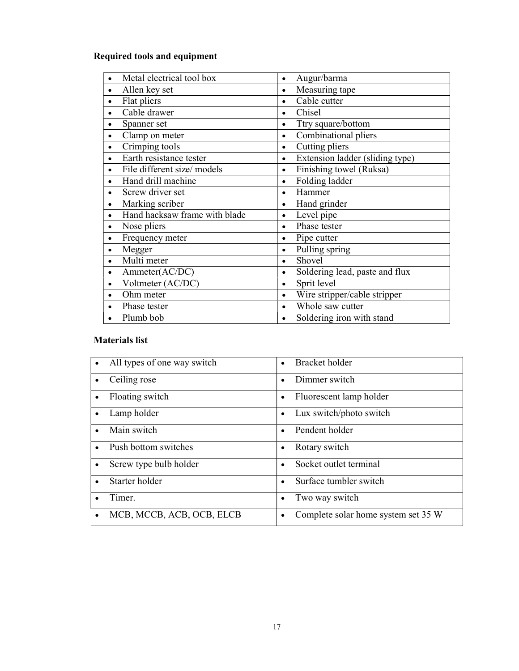### Required tools and equipment

| Metal electrical tool box     | Augur/barma<br>٠                          |
|-------------------------------|-------------------------------------------|
| Allen key set                 | Measuring tape                            |
| $\bullet$                     | $\bullet$                                 |
| Flat pliers                   | Cable cutter                              |
| Cable drawer                  | Chisel                                    |
| $\bullet$                     | ٠                                         |
| Spanner set                   | Ttry square/bottom                        |
| $\bullet$                     | ٠                                         |
| Clamp on meter                | Combinational pliers                      |
| ٠                             | $\bullet$                                 |
| Crimping tools                | Cutting pliers                            |
| $\bullet$                     | $\bullet$                                 |
| Earth resistance tester       | Extension ladder (sliding type)           |
| $\bullet$                     | $\bullet$                                 |
| File different size/ models   | Finishing towel (Ruksa)                   |
| ٠                             | ٠                                         |
| Hand drill machine            | Folding ladder<br>$\bullet$               |
| Screw driver set              | Hammer                                    |
| ٠                             | $\bullet$                                 |
| Marking scriber               | Hand grinder                              |
| $\bullet$                     | $\bullet$                                 |
| Hand hacksaw frame with blade | Level pipe<br>$\bullet$                   |
| Nose pliers                   | Phase tester                              |
| $\bullet$                     | $\bullet$                                 |
| Frequency meter               | Pipe cutter                               |
| $\bullet$                     | $\bullet$                                 |
| Megger                        | Pulling spring<br>$\bullet$               |
| Multi meter                   | Shovel                                    |
| $\bullet$                     | $\bullet$                                 |
| Ammeter(AC/DC)                | Soldering lead, paste and flux            |
| $\bullet$                     | $\bullet$                                 |
| Voltmeter (AC/DC)             | Sprit level<br>$\bullet$                  |
| Ohm meter                     | Wire stripper/cable stripper<br>$\bullet$ |
| Phase tester                  | Whole saw cutter<br>$\bullet$             |
| Plumb bob                     | Soldering iron with stand                 |

### Materials list

| All types of one way switch<br>$\bullet$ | Bracket holder                      |
|------------------------------------------|-------------------------------------|
| Ceiling rose<br>$\bullet$                | Dimmer switch                       |
| Floating switch<br>$\bullet$             | Fluorescent lamp holder             |
| Lamp holder<br>$\bullet$                 | Lux switch/photo switch             |
| Main switch<br>$\bullet$                 | Pendent holder                      |
| Push bottom switches<br>$\bullet$        | Rotary switch<br>٠                  |
| Screw type bulb holder<br>$\bullet$      | Socket outlet terminal              |
| Starter holder<br>$\bullet$              | Surface tumbler switch              |
| Timer.<br>$\bullet$                      | Two way switch                      |
| MCB, MCCB, ACB, OCB, ELCB<br>$\bullet$   | Complete solar home system set 35 W |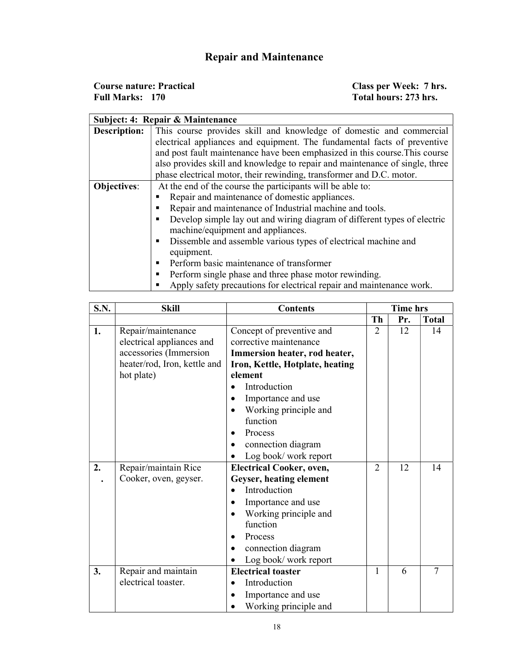## Repair and Maintenance

| <b>Course nature: Practical</b> | Class per Week: 7 hrs. |
|---------------------------------|------------------------|
| <b>Full Marks: 170</b>          | Total hours: 273 hrs.  |

|                     | Subject: 4: Repair & Maintenance                                             |  |  |  |  |  |
|---------------------|------------------------------------------------------------------------------|--|--|--|--|--|
| <b>Description:</b> | This course provides skill and knowledge of domestic and commercial          |  |  |  |  |  |
|                     | electrical appliances and equipment. The fundamental facts of preventive     |  |  |  |  |  |
|                     | and post fault maintenance have been emphasized in this course. This course  |  |  |  |  |  |
|                     | also provides skill and knowledge to repair and maintenance of single, three |  |  |  |  |  |
|                     | phase electrical motor, their rewinding, transformer and D.C. motor.         |  |  |  |  |  |
| <b>Objectives:</b>  | At the end of the course the participants will be able to:                   |  |  |  |  |  |
|                     | Repair and maintenance of domestic appliances.                               |  |  |  |  |  |
|                     | Repair and maintenance of Industrial machine and tools.                      |  |  |  |  |  |
|                     | Develop simple lay out and wiring diagram of different types of electric     |  |  |  |  |  |
|                     | machine/equipment and appliances.                                            |  |  |  |  |  |
|                     | Dissemble and assemble various types of electrical machine and               |  |  |  |  |  |
|                     | equipment.                                                                   |  |  |  |  |  |
|                     | Perform basic maintenance of transformer<br>٠                                |  |  |  |  |  |
|                     | Perform single phase and three phase motor rewinding.<br>٠                   |  |  |  |  |  |
|                     | Apply safety precautions for electrical repair and maintenance work.         |  |  |  |  |  |

| <b>S.N.</b> | <b>Skill</b>                 | <b>Contents</b>                 |                | <b>Time hrs</b> |                |
|-------------|------------------------------|---------------------------------|----------------|-----------------|----------------|
|             |                              |                                 | Th             | Pr.             | <b>Total</b>   |
| 1.          | Repair/maintenance           | Concept of preventive and       | $\overline{2}$ | 12              | 14             |
|             | electrical appliances and    | corrective maintenance          |                |                 |                |
|             | accessories (Immersion       | Immersion heater, rod heater,   |                |                 |                |
|             | heater/rod, Iron, kettle and | Iron, Kettle, Hotplate, heating |                |                 |                |
|             | hot plate)                   | element                         |                |                 |                |
|             |                              | Introduction                    |                |                 |                |
|             |                              | Importance and use              |                |                 |                |
|             |                              | Working principle and           |                |                 |                |
|             |                              | function                        |                |                 |                |
|             |                              | Process<br>$\bullet$            |                |                 |                |
|             |                              | connection diagram<br>$\bullet$ |                |                 |                |
|             |                              | Log book/work report            |                |                 |                |
| 2.          | Repair/maintain Rice         | <b>Electrical Cooker, oven,</b> | $\overline{2}$ | 12              | 14             |
|             | Cooker, oven, geyser.        | Geyser, heating element         |                |                 |                |
|             |                              | Introduction                    |                |                 |                |
|             |                              | Importance and use              |                |                 |                |
|             |                              | Working principle and           |                |                 |                |
|             |                              | function                        |                |                 |                |
|             |                              | Process<br>$\bullet$            |                |                 |                |
|             |                              | connection diagram              |                |                 |                |
|             |                              | Log book/work report            |                |                 |                |
| 3.          | Repair and maintain          | <b>Electrical toaster</b>       | 1              | 6               | $\overline{7}$ |
|             | electrical toaster.          | Introduction                    |                |                 |                |
|             |                              | Importance and use              |                |                 |                |
|             |                              | Working principle and           |                |                 |                |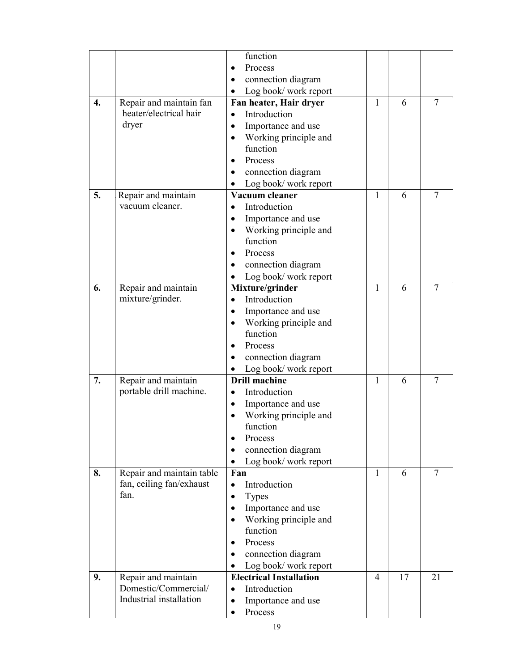|    |                           | function                           |                |    |        |
|----|---------------------------|------------------------------------|----------------|----|--------|
|    |                           | Process<br>$\bullet$               |                |    |        |
|    |                           | connection diagram                 |                |    |        |
|    |                           | Log book/work report               |                |    |        |
| 4. | Repair and maintain fan   | Fan heater, Hair dryer             | $\mathbf{1}$   | 6  | $\tau$ |
|    | heater/electrical hair    | Introduction<br>$\bullet$          |                |    |        |
|    | dryer                     | Importance and use<br>$\bullet$    |                |    |        |
|    |                           | Working principle and<br>$\bullet$ |                |    |        |
|    |                           | function                           |                |    |        |
|    |                           | Process<br>$\bullet$               |                |    |        |
|    |                           | connection diagram<br>٠            |                |    |        |
|    |                           | Log book/work report<br>$\bullet$  |                |    |        |
| 5. | Repair and maintain       | Vacuum cleaner                     | $\mathbf{1}$   | 6  | 7      |
|    | vacuum cleaner.           | Introduction                       |                |    |        |
|    |                           | Importance and use<br>$\bullet$    |                |    |        |
|    |                           | Working principle and<br>$\bullet$ |                |    |        |
|    |                           | function                           |                |    |        |
|    |                           | Process<br>$\bullet$               |                |    |        |
|    |                           | connection diagram<br>$\bullet$    |                |    |        |
|    |                           | Log book/work report               |                |    |        |
| 6. | Repair and maintain       | Mixture/grinder                    | 1              | 6  | 7      |
|    | mixture/grinder.          | Introduction<br>$\bullet$          |                |    |        |
|    |                           | Importance and use<br>$\bullet$    |                |    |        |
|    |                           | Working principle and<br>$\bullet$ |                |    |        |
|    |                           | function                           |                |    |        |
|    |                           | Process<br>$\bullet$               |                |    |        |
|    |                           | connection diagram<br>$\bullet$    |                |    |        |
|    |                           | Log book/work report<br>$\bullet$  |                |    |        |
| 7. | Repair and maintain       | <b>Drill machine</b>               | 1              | 6  | 7      |
|    | portable drill machine.   | Introduction<br>$\bullet$          |                |    |        |
|    |                           | Importance and use<br>$\bullet$    |                |    |        |
|    |                           | Working principle and              |                |    |        |
|    |                           | function                           |                |    |        |
|    |                           | Process<br>$\bullet$               |                |    |        |
|    |                           | connection diagram<br>$\bullet$    |                |    |        |
|    |                           | Log book/work report               |                |    |        |
| 8. | Repair and maintain table | Fan                                | 1              | 6  | $\tau$ |
|    | fan, ceiling fan/exhaust  | Introduction<br>$\bullet$          |                |    |        |
|    | fan.                      | <b>Types</b><br>$\bullet$          |                |    |        |
|    |                           | Importance and use<br>$\bullet$    |                |    |        |
|    |                           | Working principle and<br>$\bullet$ |                |    |        |
|    |                           | function                           |                |    |        |
|    |                           | Process                            |                |    |        |
|    |                           | connection diagram<br>$\bullet$    |                |    |        |
|    |                           | Log book/work report<br>$\bullet$  |                |    |        |
| 9. | Repair and maintain       | <b>Electrical Installation</b>     | $\overline{4}$ | 17 | 21     |
|    | Domestic/Commercial/      | Introduction<br>$\bullet$          |                |    |        |
|    | Industrial installation   | Importance and use<br>$\bullet$    |                |    |        |
|    |                           | Process<br>$\bullet$               |                |    |        |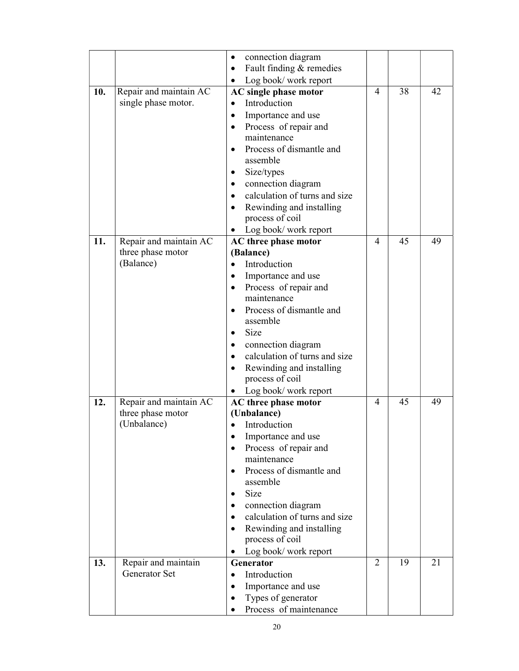|     |                        | connection diagram<br>$\bullet$            |                |    |    |
|-----|------------------------|--------------------------------------------|----------------|----|----|
|     |                        | Fault finding & remedies<br>$\bullet$      |                |    |    |
|     |                        |                                            |                |    |    |
|     |                        | Log book/work report<br>٠                  |                |    |    |
| 10. | Repair and maintain AC | AC single phase motor                      | 4              | 38 | 42 |
|     | single phase motor.    | Introduction<br>$\bullet$                  |                |    |    |
|     |                        | Importance and use<br>$\bullet$            |                |    |    |
|     |                        | Process of repair and<br>$\bullet$         |                |    |    |
|     |                        | maintenance                                |                |    |    |
|     |                        | Process of dismantle and                   |                |    |    |
|     |                        | assemble                                   |                |    |    |
|     |                        | Size/types<br>$\bullet$                    |                |    |    |
|     |                        | connection diagram<br>$\bullet$            |                |    |    |
|     |                        | • calculation of turns and size            |                |    |    |
|     |                        | Rewinding and installing<br>$\bullet$      |                |    |    |
|     |                        | process of coil                            |                |    |    |
|     |                        | Log book/work report<br>$\bullet$          |                |    |    |
| 11. | Repair and maintain AC | AC three phase motor                       | 4              | 45 | 49 |
|     | three phase motor      | (Balance)                                  |                |    |    |
|     | (Balance)              | Introduction<br>$\bullet$                  |                |    |    |
|     |                        | Importance and use<br>$\bullet$            |                |    |    |
|     |                        | Process of repair and                      |                |    |    |
|     |                        | maintenance                                |                |    |    |
|     |                        | Process of dismantle and<br>$\bullet$      |                |    |    |
|     |                        | assemble                                   |                |    |    |
|     |                        | Size<br>$\bullet$                          |                |    |    |
|     |                        | connection diagram<br>$\bullet$            |                |    |    |
|     |                        | calculation of turns and size<br>$\bullet$ |                |    |    |
|     |                        |                                            |                |    |    |
|     |                        | Rewinding and installing<br>$\bullet$      |                |    |    |
|     |                        | process of coil                            |                |    |    |
|     |                        | Log book/work report                       |                |    |    |
| 12. | Repair and maintain AC | AC three phase motor                       | 4              | 45 | 49 |
|     | three phase motor      | (Unbalance)                                |                |    |    |
|     | (Unbalance)            | Introduction                               |                |    |    |
|     |                        | Importance and use                         |                |    |    |
|     |                        | Process of repair and<br>$\bullet$         |                |    |    |
|     |                        | maintenance                                |                |    |    |
|     |                        | Process of dismantle and                   |                |    |    |
|     |                        | assemble                                   |                |    |    |
|     |                        | Size<br>$\bullet$                          |                |    |    |
|     |                        | connection diagram<br>$\bullet$            |                |    |    |
|     |                        | calculation of turns and size<br>$\bullet$ |                |    |    |
|     |                        | Rewinding and installing<br>$\bullet$      |                |    |    |
|     |                        | process of coil                            |                |    |    |
|     |                        | Log book/work report<br>$\bullet$          |                |    |    |
| 13. | Repair and maintain    | Generator                                  | $\overline{2}$ | 19 | 21 |
|     | <b>Generator Set</b>   | Introduction<br>$\bullet$                  |                |    |    |
|     |                        | Importance and use<br>$\bullet$            |                |    |    |
|     |                        | Types of generator                         |                |    |    |
|     |                        | Process of maintenance                     |                |    |    |
|     |                        |                                            |                |    |    |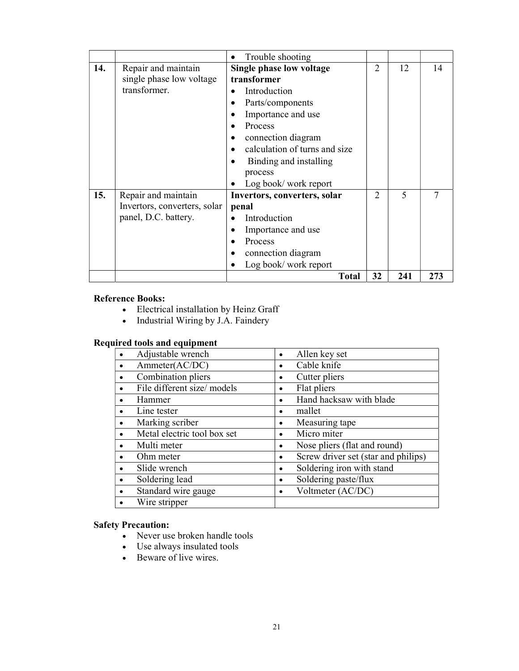|     |                                                                             | Trouble shooting                                                                                                                                                                                                                 |                |                          |        |
|-----|-----------------------------------------------------------------------------|----------------------------------------------------------------------------------------------------------------------------------------------------------------------------------------------------------------------------------|----------------|--------------------------|--------|
| 14. | Repair and maintain<br>single phase low voltage<br>transformer.             | Single phase low voltage<br>transformer<br>Introduction<br>Parts/components<br>Importance and use<br>Process<br>connection diagram<br>calculation of turns and size<br>Binding and installing<br>process<br>Log book/work report | $\overline{2}$ | 12                       | 14     |
| 15. | Repair and maintain<br>Invertors, converters, solar<br>panel, D.C. battery. | Invertors, converters, solar<br>penal<br>Introduction<br>Importance and use<br>Process<br>connection diagram<br>Log book/work report                                                                                             | $\overline{2}$ | $\overline{\phantom{0}}$ | $\tau$ |
|     |                                                                             | <b>Total</b>                                                                                                                                                                                                                     | 32             | 241                      | 273    |

### Reference Books:

- Electrical installation by Heinz Graff
- Industrial Wiring by J.A. Faindery

### Required tools and equipment

| Adjustable wrench           | Allen key set<br>٠                       |
|-----------------------------|------------------------------------------|
| Ammeter(AC/DC)              | Cable knife<br>٠                         |
| Combination pliers          | Cutter pliers<br>٠                       |
| File different size/ models | Flat pliers<br>٠                         |
| Hammer                      | Hand hacksaw with blade<br>٠             |
| Line tester                 | mallet<br>٠                              |
| Marking scriber             | Measuring tape<br>٠                      |
| Metal electric tool box set | Micro miter<br>٠                         |
| Multi meter                 | Nose pliers (flat and round)<br>٠        |
| Ohm meter                   | Screw driver set (star and philips)<br>٠ |
| Slide wrench                | Soldering iron with stand<br>٠           |
| Soldering lead              | Soldering paste/flux<br>٠                |
| Standard wire gauge         | Voltmeter (AC/DC)<br>٠                   |
| Wire stripper               |                                          |

### Safety Precaution:

- Never use broken handle tools
- Use always insulated tools
- Beware of live wires.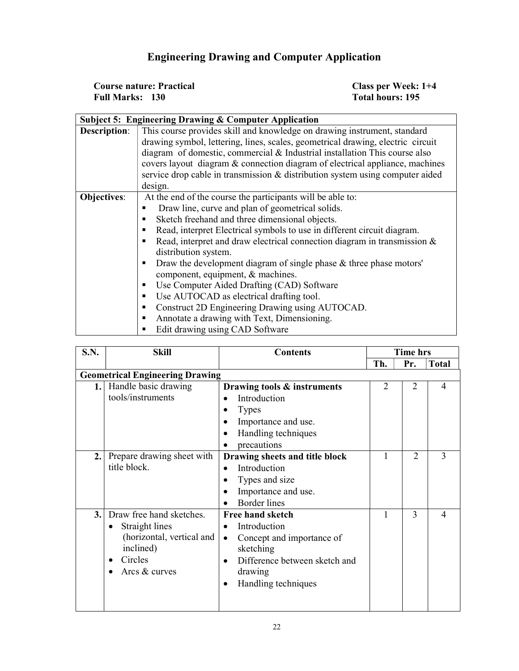### Engineering Drawing and Computer Application

| <b>Course nature: Practical</b> | Class per Week: 1+4 |
|---------------------------------|---------------------|
| <b>Full Marks: 130</b>          | Total hours: 195    |

|                                                       | <b>Subject 5: Engineering Drawing &amp; Computer Application</b>                 |  |  |  |  |  |  |
|-------------------------------------------------------|----------------------------------------------------------------------------------|--|--|--|--|--|--|
| <b>Description:</b>                                   | This course provides skill and knowledge on drawing instrument, standard         |  |  |  |  |  |  |
|                                                       | drawing symbol, lettering, lines, scales, geometrical drawing, electric circuit  |  |  |  |  |  |  |
|                                                       | diagram of domestic, commercial & Industrial installation This course also       |  |  |  |  |  |  |
|                                                       | covers layout diagram & connection diagram of electrical appliance, machines     |  |  |  |  |  |  |
|                                                       | service drop cable in transmission & distribution system using computer aided    |  |  |  |  |  |  |
|                                                       | design.                                                                          |  |  |  |  |  |  |
| <b>Objectives:</b>                                    | At the end of the course the participants will be able to:                       |  |  |  |  |  |  |
| Draw line, curve and plan of geometrical solids.<br>٠ |                                                                                  |  |  |  |  |  |  |
|                                                       | Sketch freehand and three dimensional objects.<br>٠                              |  |  |  |  |  |  |
|                                                       | Read, interpret Electrical symbols to use in different circuit diagram.<br>٠     |  |  |  |  |  |  |
|                                                       | Read, interpret and draw electrical connection diagram in transmission $\&$<br>٠ |  |  |  |  |  |  |
|                                                       | distribution system.                                                             |  |  |  |  |  |  |
|                                                       | Draw the development diagram of single phase $\&$ three phase motors'<br>٠       |  |  |  |  |  |  |
|                                                       | component, equipment, & machines.                                                |  |  |  |  |  |  |
|                                                       | Use Computer Aided Drafting (CAD) Software<br>п                                  |  |  |  |  |  |  |
|                                                       | Use AUTOCAD as electrical drafting tool.<br>п                                    |  |  |  |  |  |  |
|                                                       | Construct 2D Engineering Drawing using AUTOCAD.<br>٠                             |  |  |  |  |  |  |
|                                                       | Annotate a drawing with Text, Dimensioning.<br>п                                 |  |  |  |  |  |  |
|                                                       | Edit drawing using CAD Software                                                  |  |  |  |  |  |  |

| S.N. | <b>Skill</b>                                                                                                     | <b>Contents</b>                                                                                                                                                                     | <b>Time hrs</b> |                |              |
|------|------------------------------------------------------------------------------------------------------------------|-------------------------------------------------------------------------------------------------------------------------------------------------------------------------------------|-----------------|----------------|--------------|
|      |                                                                                                                  |                                                                                                                                                                                     | Th.             | Pr.            | <b>Total</b> |
|      | <b>Geometrical Engineering Drawing</b>                                                                           |                                                                                                                                                                                     |                 |                |              |
| 1.1  | Handle basic drawing<br>tools/instruments                                                                        | Drawing tools & instruments<br>Introduction<br><b>Types</b><br>Importance and use.<br>Handling techniques<br>precautions                                                            | $\overline{2}$  | $\overline{2}$ | 4            |
| 2.   | Prepare drawing sheet with<br>title block.                                                                       | Drawing sheets and title block<br>Introduction<br>Types and size<br>Importance and use.<br><b>Border</b> lines                                                                      | 1               | $\mathfrak{2}$ | 3            |
| 3.   | Draw free hand sketches.<br>Straight lines<br>(horizontal, vertical and<br>inclined)<br>Circles<br>Arcs & curves | <b>Free hand sketch</b><br>Introduction<br>$\bullet$<br>Concept and importance of<br>$\bullet$<br>sketching<br>Difference between sketch and<br>drawing<br>Handling techniques<br>٠ | 1               | 3              | 4            |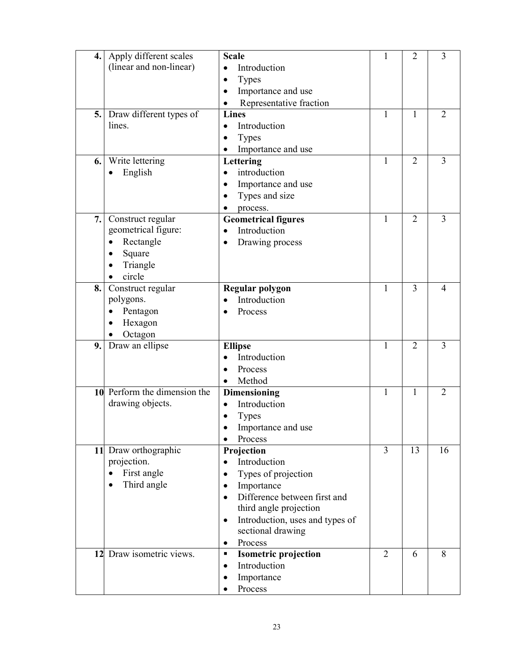| 4. | Apply different scales         | <b>Scale</b>                                 | 1              | $\overline{2}$ | 3              |
|----|--------------------------------|----------------------------------------------|----------------|----------------|----------------|
|    | (linear and non-linear)        | Introduction<br>$\bullet$                    |                |                |                |
|    |                                | <b>Types</b>                                 |                |                |                |
|    |                                | Importance and use                           |                |                |                |
|    |                                | Representative fraction                      |                |                |                |
| 5. | Draw different types of        | <b>Lines</b>                                 | 1              | 1              | $\overline{2}$ |
|    | lines.                         | Introduction<br>$\bullet$                    |                |                |                |
|    |                                |                                              |                |                |                |
|    |                                | <b>Types</b>                                 |                |                |                |
|    |                                | Importance and use                           |                |                |                |
| 6. | Write lettering                | Lettering                                    | 1              | $\overline{2}$ | 3              |
|    | English                        | introduction<br>$\bullet$                    |                |                |                |
|    |                                | Importance and use                           |                |                |                |
|    |                                | Types and size                               |                |                |                |
|    |                                | process.                                     |                |                |                |
| 7. | Construct regular              | <b>Geometrical figures</b>                   | $\mathbf{1}$   | $\overline{2}$ | 3              |
|    | geometrical figure:            | Introduction                                 |                |                |                |
|    | Rectangle                      | Drawing process                              |                |                |                |
|    | Square                         |                                              |                |                |                |
|    | Triangle                       |                                              |                |                |                |
|    | circle                         |                                              |                |                |                |
| 8. |                                |                                              | 1              | 3              | 4              |
|    | Construct regular<br>polygons. | Regular polygon<br>Introduction              |                |                |                |
|    |                                |                                              |                |                |                |
|    | Pentagon                       | Process                                      |                |                |                |
|    | Hexagon                        |                                              |                |                |                |
|    | Octagon                        |                                              |                |                |                |
| 9. | Draw an ellipse                | <b>Ellipse</b>                               | 1              | $\overline{2}$ | 3              |
|    |                                | Introduction                                 |                |                |                |
|    |                                | Process                                      |                |                |                |
|    |                                | Method<br>$\bullet$                          |                |                |                |
|    | 10 Perform the dimension the   | <b>Dimensioning</b>                          | $\mathbf{1}$   | 1              | $\overline{2}$ |
|    | drawing objects.               | Introduction<br>$\bullet$                    |                |                |                |
|    |                                | <b>Types</b>                                 |                |                |                |
|    |                                | Importance and use                           |                |                |                |
|    |                                | Process                                      |                |                |                |
|    | 11 Draw orthographic           | Projection                                   | 3              | 13             | 16             |
|    | projection.                    | Introduction                                 |                |                |                |
|    |                                | $\bullet$                                    |                |                |                |
|    | First angle                    | Types of projection                          |                |                |                |
|    | Third angle                    | Importance                                   |                |                |                |
|    |                                | Difference between first and<br>$\bullet$    |                |                |                |
|    |                                | third angle projection                       |                |                |                |
|    |                                | Introduction, uses and types of<br>$\bullet$ |                |                |                |
|    |                                | sectional drawing                            |                |                |                |
|    |                                | Process<br>$\bullet$                         |                |                |                |
|    | 12 Draw isometric views.       | <b>Isometric projection</b><br>٠             | $\overline{2}$ | 6              | 8              |
|    |                                | Introduction<br>$\bullet$                    |                |                |                |
|    |                                | Importance                                   |                |                |                |
|    |                                | Process                                      |                |                |                |
|    |                                |                                              |                |                |                |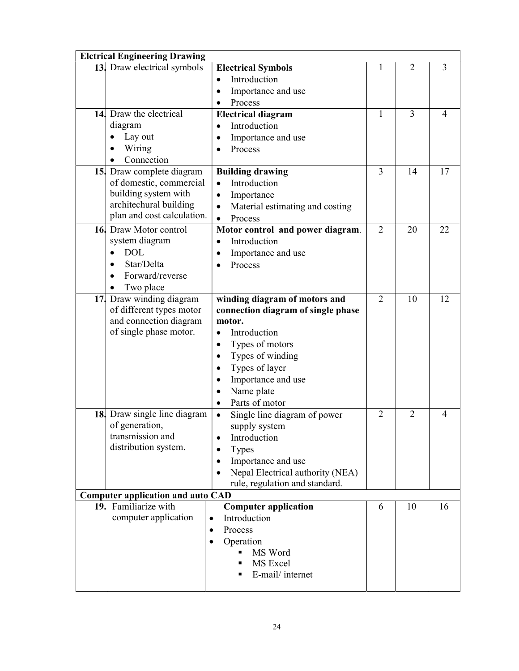|                 | <b>Elctrical Engineering Drawing</b>     |                                           |                |                |                |  |
|-----------------|------------------------------------------|-------------------------------------------|----------------|----------------|----------------|--|
|                 | 13. Draw electrical symbols              | <b>Electrical Symbols</b>                 | 1              | $\overline{2}$ | $\overline{3}$ |  |
|                 |                                          | Introduction<br>$\bullet$                 |                |                |                |  |
|                 |                                          | Importance and use<br>$\bullet$           |                |                |                |  |
|                 |                                          | Process<br>$\bullet$                      |                |                |                |  |
|                 | 14. Draw the electrical                  | <b>Electrical diagram</b>                 | $\mathbf{1}$   | 3              | 4              |  |
|                 | diagram                                  | Introduction                              |                |                |                |  |
|                 | Lay out                                  | Importance and use                        |                |                |                |  |
|                 | Wiring                                   | Process                                   |                |                |                |  |
|                 | Connection                               |                                           |                |                |                |  |
|                 | 15. Draw complete diagram                | <b>Building drawing</b>                   | 3              | 14             | 17             |  |
|                 | of domestic, commercial                  | Introduction<br>$\bullet$                 |                |                |                |  |
|                 | building system with                     | Importance<br>$\bullet$                   |                |                |                |  |
|                 | architechural building                   | Material estimating and costing           |                |                |                |  |
|                 | plan and cost calculation.               | Process                                   |                |                |                |  |
|                 | 16. Draw Motor control                   | Motor control and power diagram.          | $\overline{2}$ | 20             | 22             |  |
|                 | system diagram                           | Introduction<br>$\bullet$                 |                |                |                |  |
|                 | <b>DOL</b><br>$\bullet$                  | Importance and use<br>$\bullet$           |                |                |                |  |
|                 | Star/Delta                               | Process<br>$\bullet$                      |                |                |                |  |
|                 | Forward/reverse                          |                                           |                |                |                |  |
|                 | Two place                                |                                           |                |                |                |  |
| 17 <sub>1</sub> | Draw winding diagram                     | winding diagram of motors and             | $\overline{2}$ | 10             | 12             |  |
|                 | of different types motor                 | connection diagram of single phase        |                |                |                |  |
|                 | and connection diagram                   | motor.                                    |                |                |                |  |
|                 | of single phase motor.                   | Introduction<br>$\bullet$                 |                |                |                |  |
|                 |                                          | Types of motors<br>$\bullet$              |                |                |                |  |
|                 |                                          | Types of winding<br>$\bullet$             |                |                |                |  |
|                 |                                          | Types of layer<br>$\bullet$               |                |                |                |  |
|                 |                                          | Importance and use<br>$\bullet$           |                |                |                |  |
|                 |                                          | Name plate                                |                |                |                |  |
|                 |                                          | Parts of motor<br>$\bullet$               |                |                |                |  |
|                 | 18. Draw single line diagram             | Single line diagram of power<br>$\bullet$ | $\overline{2}$ | $\overline{2}$ | 4              |  |
|                 | of generation,                           | supply system                             |                |                |                |  |
|                 | transmission and                         | Introduction<br>$\bullet$                 |                |                |                |  |
|                 | distribution system.                     | <b>Types</b><br>$\bullet$                 |                |                |                |  |
|                 |                                          | Importance and use<br>$\bullet$           |                |                |                |  |
|                 |                                          | Nepal Electrical authority (NEA)          |                |                |                |  |
|                 |                                          | rule, regulation and standard.            |                |                |                |  |
|                 | <b>Computer application and auto CAD</b> |                                           |                |                |                |  |
|                 | 19. Familiarize with                     | <b>Computer application</b>               | 6              | 10             | 16             |  |
|                 | computer application                     | Introduction<br>$\bullet$                 |                |                |                |  |
|                 |                                          | Process<br>$\bullet$                      |                |                |                |  |
|                 |                                          | Operation<br>$\bullet$                    |                |                |                |  |
|                 |                                          | MS Word                                   |                |                |                |  |
|                 |                                          | MS Excel                                  |                |                |                |  |
|                 |                                          | E-mail/internet                           |                |                |                |  |
|                 |                                          |                                           |                |                |                |  |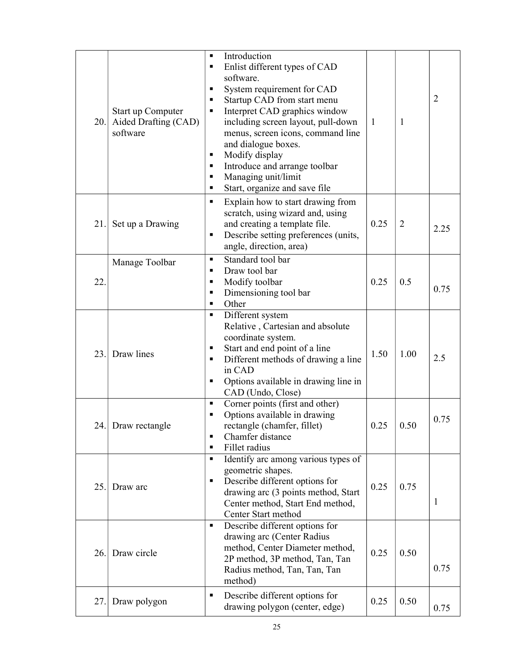| 20. | Start up Computer<br>Aided Drafting (CAD)<br>software | Introduction<br>$\blacksquare$<br>Enlist different types of CAD<br>$\blacksquare$<br>software.<br>System requirement for CAD<br>٠<br>Startup CAD from start menu<br>٠<br>Interpret CAD graphics window<br>٠<br>including screen layout, pull-down<br>menus, screen icons, command line<br>and dialogue boxes.<br>Modify display<br>٠<br>Introduce and arrange toolbar<br>٠<br>Managing unit/limit<br>٠<br>Start, organize and save file<br>٠ | $\mathbf{1}$ | 1              | $\overline{2}$ |
|-----|-------------------------------------------------------|----------------------------------------------------------------------------------------------------------------------------------------------------------------------------------------------------------------------------------------------------------------------------------------------------------------------------------------------------------------------------------------------------------------------------------------------|--------------|----------------|----------------|
| 21. | Set up a Drawing                                      | Explain how to start drawing from<br>٠<br>scratch, using wizard and, using<br>and creating a template file.<br>Describe setting preferences (units,<br>٠<br>angle, direction, area)                                                                                                                                                                                                                                                          | 0.25         | $\overline{2}$ | 2.25           |
| 22. | Manage Toolbar                                        | Standard tool bar<br>$\blacksquare$<br>Draw tool bar<br>$\blacksquare$<br>Modify toolbar<br>٠<br>Dimensioning tool bar<br>$\blacksquare$<br>Other<br>٠                                                                                                                                                                                                                                                                                       | 0.25         | 0.5            | 0.75           |
| 23. | Draw lines                                            | Different system<br>٠<br>Relative, Cartesian and absolute<br>coordinate system.<br>Start and end point of a line<br>٠<br>Different methods of drawing a line<br>٠<br>in CAD<br>Options available in drawing line in<br>٠<br>CAD (Undo, Close)                                                                                                                                                                                                | 1.50         | 1.00           | 2.5            |
|     | 24. Draw rectangle                                    | Corner points (first and other)<br>$\blacksquare$<br>Options available in drawing<br>٠<br>rectangle (chamfer, fillet)<br>Chamfer distance<br>٠<br>Fillet radius<br>٠                                                                                                                                                                                                                                                                         | 0.25         | 0.50           | 0.75           |
| 25. | Draw arc                                              | Identify arc among various types of<br>٠<br>geometric shapes.<br>Describe different options for<br>٠<br>drawing arc (3 points method, Start<br>Center method, Start End method,<br>Center Start method                                                                                                                                                                                                                                       | 0.25         | 0.75           | $\mathbf{1}$   |
| 26. | Draw circle                                           | Describe different options for<br>$\blacksquare$<br>drawing arc (Center Radius<br>method, Center Diameter method,<br>2P method, 3P method, Tan, Tan<br>Radius method, Tan, Tan, Tan<br>method)                                                                                                                                                                                                                                               | 0.25         | 0.50           | 0.75           |
| 27. | Draw polygon                                          | Describe different options for<br>$\blacksquare$<br>drawing polygon (center, edge)                                                                                                                                                                                                                                                                                                                                                           | 0.25         | 0.50           | 0.75           |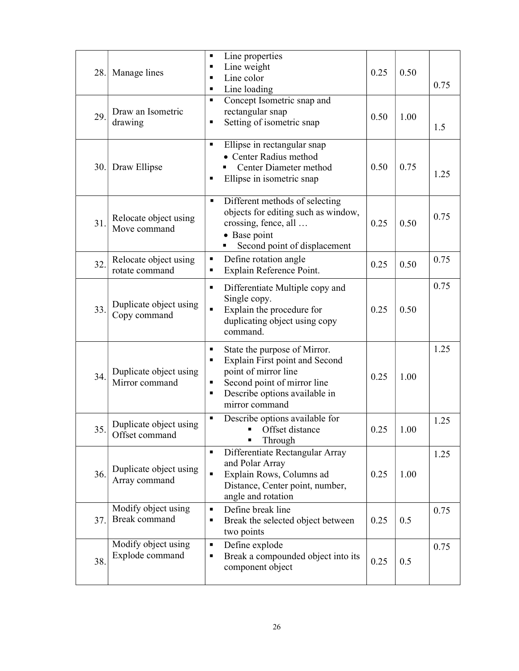| 28. | Manage lines                             | Line properties<br>п<br>Line weight<br>п<br>Line color<br>٠<br>Line loading<br>٠                                                                                                             | 0.25 | 0.50 | 0.75 |
|-----|------------------------------------------|----------------------------------------------------------------------------------------------------------------------------------------------------------------------------------------------|------|------|------|
| 29. | Draw an Isometric<br>drawing             | Concept Isometric snap and<br>п<br>rectangular snap<br>Setting of isometric snap<br>п                                                                                                        | 0.50 | 1.00 | 1.5  |
|     | 30. Draw Ellipse                         | Ellipse in rectangular snap<br>٠<br>• Center Radius method<br>Center Diameter method<br>Ellipse in isometric snap<br>п                                                                       | 0.50 | 0.75 | 1.25 |
| 31. | Relocate object using<br>Move command    | Different methods of selecting<br>٠<br>objects for editing such as window,<br>crossing, fence, all<br>• Base point<br>Second point of displacement<br>٠                                      | 0.25 | 0.50 | 0.75 |
| 32. | Relocate object using<br>rotate command  | Define rotation angle<br>п<br>Explain Reference Point.<br>п                                                                                                                                  | 0.25 | 0.50 | 0.75 |
| 33. | Duplicate object using<br>Copy command   | Differentiate Multiple copy and<br>٠<br>Single copy.<br>Explain the procedure for<br>Ξ<br>duplicating object using copy<br>command.                                                          | 0.25 | 0.50 | 0.75 |
| 34. | Duplicate object using<br>Mirror command | State the purpose of Mirror.<br>٠<br>Explain First point and Second<br>п<br>point of mirror line<br>Second point of mirror line<br>٠<br>Describe options available in<br>٠<br>mirror command | 0.25 | 1.00 | 1.25 |
| 35. | Duplicate object using<br>Offset command | Describe options available for<br>٠<br>• Offset distance<br>Through                                                                                                                          | 0.25 | 1.00 | 1.25 |
| 36. | Duplicate object using<br>Array command  | Differentiate Rectangular Array<br>٠<br>and Polar Array<br>Explain Rows, Columns ad<br>$\blacksquare$<br>Distance, Center point, number,<br>angle and rotation                               | 0.25 | 1.00 | 1.25 |
| 37. | Modify object using<br>Break command     | Define break line<br>Ξ<br>Break the selected object between<br>٠<br>two points                                                                                                               | 0.25 | 0.5  | 0.75 |
| 38. | Modify object using<br>Explode command   | Define explode<br>$\blacksquare$<br>Break a compounded object into its<br>٠<br>component object                                                                                              | 0.25 | 0.5  | 0.75 |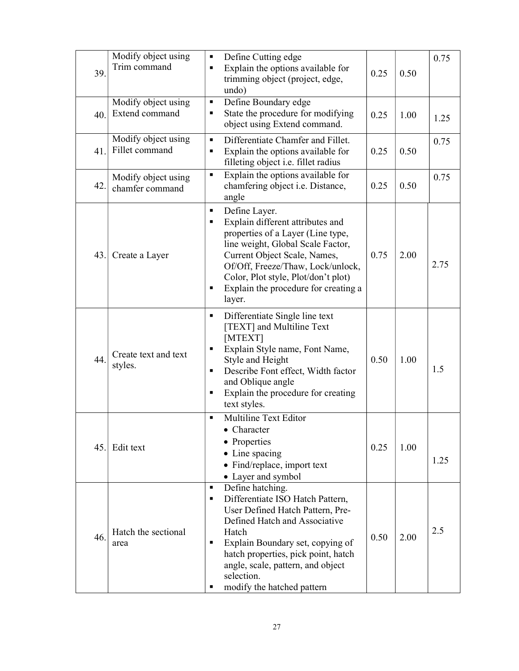| 39. | Modify object using<br>Trim command    | Define Cutting edge<br>Е<br>Explain the options available for<br>п<br>trimming object (project, edge,<br>undo)                                                                                                                                                                                                             | 0.25 | 0.50 | 0.75 |
|-----|----------------------------------------|----------------------------------------------------------------------------------------------------------------------------------------------------------------------------------------------------------------------------------------------------------------------------------------------------------------------------|------|------|------|
| 40. | Modify object using<br>Extend command  | Define Boundary edge<br>Е<br>State the procedure for modifying<br>П<br>object using Extend command.                                                                                                                                                                                                                        | 0.25 | 1.00 | 1.25 |
| 41. | Modify object using<br>Fillet command  | Differentiate Chamfer and Fillet.<br>٠<br>Explain the options available for<br>П<br>filleting object i.e. fillet radius                                                                                                                                                                                                    | 0.25 | 0.50 | 0.75 |
| 42. | Modify object using<br>chamfer command | Explain the options available for<br>$\blacksquare$<br>chamfering object i.e. Distance,<br>angle                                                                                                                                                                                                                           | 0.25 | 0.50 | 0.75 |
| 43. | Create a Layer                         | Define Layer.<br>Е<br>Explain different attributes and<br>П<br>properties of a Layer (Line type,<br>line weight, Global Scale Factor,<br>Current Object Scale, Names,<br>Of/Off, Freeze/Thaw, Lock/unlock,<br>Color, Plot style, Plot/don't plot)<br>Explain the procedure for creating a<br>Е<br>layer.                   | 0.75 | 2.00 | 2.75 |
| 44. | Create text and text<br>styles.        | Differentiate Single line text<br>٠<br>[TEXT] and Multiline Text<br>[MTEXT]<br>Explain Style name, Font Name,<br>П<br>Style and Height<br>Describe Font effect, Width factor<br>п<br>and Oblique angle<br>Explain the procedure for creating<br>П<br>text styles.                                                          | 0.50 | 1.00 | 1.5  |
| 45. | Edit text                              | <b>Multiline Text Editor</b><br>٠<br>Character<br>• Properties<br>• Line spacing<br>• Find/replace, import text<br>• Layer and symbol                                                                                                                                                                                      | 0.25 | 1.00 | 1.25 |
| 46. | Hatch the sectional<br>area            | Define hatching.<br>$\blacksquare$<br>Differentiate ISO Hatch Pattern,<br>٠<br>User Defined Hatch Pattern, Pre-<br>Defined Hatch and Associative<br>Hatch<br>Explain Boundary set, copying of<br>٠<br>hatch properties, pick point, hatch<br>angle, scale, pattern, and object<br>selection.<br>modify the hatched pattern | 0.50 | 2.00 | 2.5  |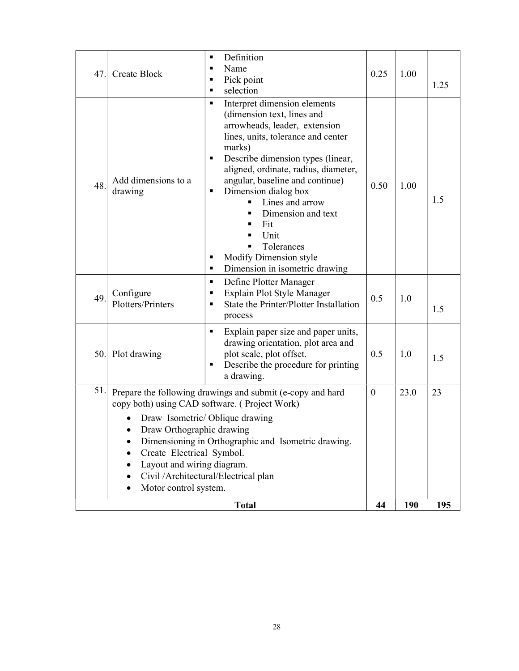| 47. | <b>Create Block</b>                                                                                           | Definition<br>٠<br>Name<br>٠<br>Pick point<br>п<br>selection<br>٠                                                                                                                                                                                                                                                                                                                                                                              | 0.25             | 1.00       | 1.25 |
|-----|---------------------------------------------------------------------------------------------------------------|------------------------------------------------------------------------------------------------------------------------------------------------------------------------------------------------------------------------------------------------------------------------------------------------------------------------------------------------------------------------------------------------------------------------------------------------|------------------|------------|------|
| 48. | Add dimensions to a<br>drawing                                                                                | Interpret dimension elements<br>٠<br>(dimension text, lines and<br>arrowheads, leader, extension<br>lines, units, tolerance and center<br>marks)<br>Describe dimension types (linear,<br>٠<br>aligned, ordinate, radius, diameter,<br>angular, baseline and continue)<br>Dimension dialog box<br>п<br>Lines and arrow<br>Dimension and text<br>Fit<br>Unit<br>Tolerances<br>Modify Dimension style<br>٠<br>Dimension in isometric drawing<br>٠ | 0.50             | 1.00       | 1.5  |
| 49. | Configure<br>Plotters/Printers                                                                                | Define Plotter Manager<br>٠<br>Explain Plot Style Manager<br>п<br>State the Printer/Plotter Installation<br>٠<br>process                                                                                                                                                                                                                                                                                                                       | 0.5              | 1.0        | 1.5  |
|     | 50. Plot drawing                                                                                              | Explain paper size and paper units,<br>٠<br>drawing orientation, plot area and<br>plot scale, plot offset.<br>Describe the procedure for printing<br>٠<br>a drawing.                                                                                                                                                                                                                                                                           | 0.5              | 1.0        | 1.5  |
| 51. | Draw Orthographic drawing<br>Create Electrical Symbol.<br>Layout and wiring diagram.<br>Motor control system. | Prepare the following drawings and submit (e-copy and hard<br>copy both) using CAD software. (Project Work)<br>Draw Isometric/Oblique drawing<br>Dimensioning in Orthographic and Isometric drawing.<br>Civil /Architectural/Electrical plan                                                                                                                                                                                                   | $\boldsymbol{0}$ | 23.0       | 23   |
|     |                                                                                                               | <b>Total</b>                                                                                                                                                                                                                                                                                                                                                                                                                                   | 44               | <b>190</b> | 195  |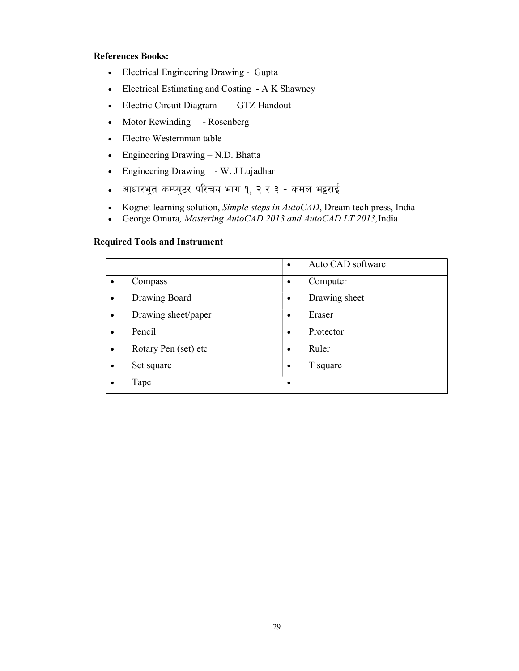### References Books:

- Electrical Engineering Drawing Gupta
- Electrical Estimating and Costing A K Shawney
- Electric Circuit Diagram -GTZ Handout
- Motor Rewinding Rosenberg
- Electro Westernman table
- Engineering Drawing N.D. Bhatta
- Engineering Drawing W. J Lujadhar
- आधारभुत कम्प्युटर परिचय भाग १, २ र ३ कमल भट्टराई
- Kognet learning solution, Simple steps in AutoCAD, Dream tech press, India
- George Omura, Mastering AutoCAD 2013 and AutoCAD LT 2013, India

#### Required Tools and Instrument

|                      | Auto CAD software<br>$\bullet$ |
|----------------------|--------------------------------|
| Compass              | Computer<br>٠                  |
| Drawing Board        | Drawing sheet<br>$\bullet$     |
| Drawing sheet/paper  | Eraser<br>٠                    |
| Pencil<br>$\bullet$  | Protector<br>$\bullet$         |
| Rotary Pen (set) etc | Ruler<br>$\bullet$             |
| Set square           | T square<br>$\bullet$          |
| Tape                 | ٠                              |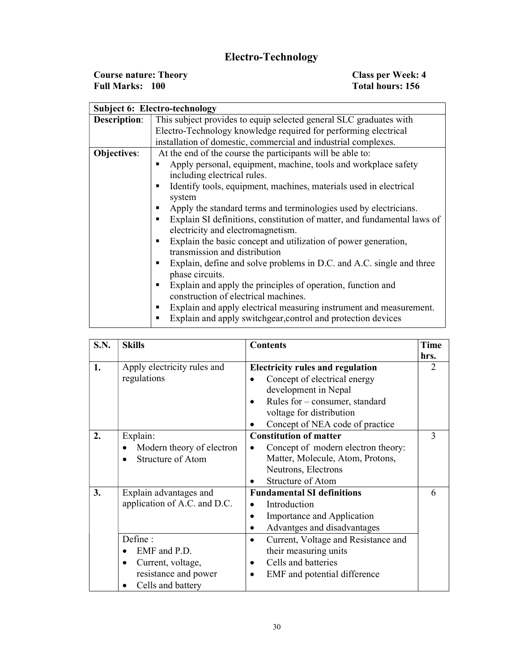## Electro-Technology

| <b>Course nature: Theory</b> | <b>Class per Week: 4</b> |
|------------------------------|--------------------------|
| <b>Full Marks: 100</b>       | Total hours: 156         |

|                     | <b>Subject 6: Electro-technology</b>                                         |  |  |  |  |  |
|---------------------|------------------------------------------------------------------------------|--|--|--|--|--|
| <b>Description:</b> | This subject provides to equip selected general SLC graduates with           |  |  |  |  |  |
|                     | Electro-Technology knowledge required for performing electrical              |  |  |  |  |  |
|                     | installation of domestic, commercial and industrial complexes.               |  |  |  |  |  |
| Objectives:         | At the end of the course the participants will be able to:                   |  |  |  |  |  |
|                     | Apply personal, equipment, machine, tools and workplace safety               |  |  |  |  |  |
|                     | including electrical rules.                                                  |  |  |  |  |  |
|                     | Identify tools, equipment, machines, materials used in electrical<br>٠       |  |  |  |  |  |
|                     | system                                                                       |  |  |  |  |  |
|                     | Apply the standard terms and terminologies used by electricians.<br>٠        |  |  |  |  |  |
|                     | Explain SI definitions, constitution of matter, and fundamental laws of<br>٠ |  |  |  |  |  |
|                     | electricity and electromagnetism.                                            |  |  |  |  |  |
|                     | Explain the basic concept and utilization of power generation,<br>٠          |  |  |  |  |  |
|                     | transmission and distribution                                                |  |  |  |  |  |
|                     | Explain, define and solve problems in D.C. and A.C. single and three<br>٠    |  |  |  |  |  |
|                     | phase circuits.                                                              |  |  |  |  |  |
|                     | Explain and apply the principles of operation, function and<br>٠             |  |  |  |  |  |
|                     | construction of electrical machines.                                         |  |  |  |  |  |
|                     | Explain and apply electrical measuring instrument and measurement.<br>٠      |  |  |  |  |  |
|                     | Explain and apply switchgear, control and protection devices<br>٠            |  |  |  |  |  |

| S.N. | <b>Skills</b>                                                                     | <b>Contents</b>                                                                                                                                                                                                                 | <b>Time</b>   |
|------|-----------------------------------------------------------------------------------|---------------------------------------------------------------------------------------------------------------------------------------------------------------------------------------------------------------------------------|---------------|
|      |                                                                                   |                                                                                                                                                                                                                                 | hrs.          |
| 1.   | Apply electricity rules and<br>regulations                                        | <b>Electricity rules and regulation</b><br>Concept of electrical energy<br>development in Nepal<br>Rules for – consumer, standard<br>voltage for distribution                                                                   | $\mathcal{L}$ |
|      |                                                                                   | Concept of NEA code of practice                                                                                                                                                                                                 |               |
| 2.   | Explain:<br>Modern theory of electron<br><b>Structure of Atom</b>                 | <b>Constitution of matter</b><br>Concept of modern electron theory:<br>٠<br>Matter, Molecule, Atom, Protons,<br>Neutrons, Electrons<br>Structure of Atom                                                                        | 3             |
| 3.   | Explain advantages and<br>application of A.C. and D.C.<br>Define:<br>EMF and P.D. | <b>Fundamental SI definitions</b><br>Introduction<br>Importance and Application<br>Advantges and disadvantages<br>$\bullet$<br>Current, Voltage and Resistance and<br>their measuring units<br>Cells and batteries<br>$\bullet$ | 6             |
|      | Current, voltage,<br>resistance and power<br>Cells and battery                    | EMF and potential difference                                                                                                                                                                                                    |               |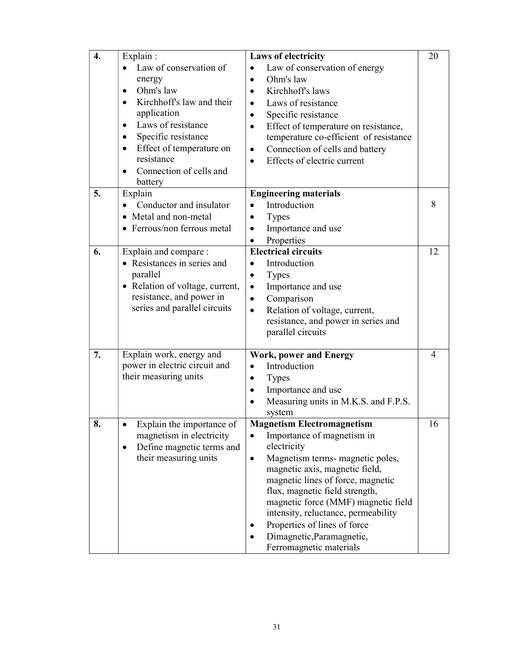| 4. | Explain:                               | <b>Laws of electricity</b>                        | 20 |
|----|----------------------------------------|---------------------------------------------------|----|
|    | Law of conservation of                 | Law of conservation of energy                     |    |
|    | energy                                 | Ohm's law<br>$\bullet$                            |    |
|    | Ohm's law<br>$\bullet$                 | Kirchhoff's laws<br>$\bullet$                     |    |
|    | Kirchhoff's law and their<br>$\bullet$ | Laws of resistance                                |    |
|    | application                            | Specific resistance<br>$\bullet$                  |    |
|    | Laws of resistance<br>$\bullet$        | Effect of temperature on resistance,<br>$\bullet$ |    |
|    | Specific resistance<br>$\bullet$       | temperature co-efficient of resistance            |    |
|    | Effect of temperature on<br>$\bullet$  | Connection of cells and battery<br>٠              |    |
|    | resistance                             | Effects of electric current<br>$\bullet$          |    |
|    | Connection of cells and<br>$\bullet$   |                                                   |    |
|    | battery                                |                                                   |    |
| 5. | Explain                                | <b>Engineering materials</b>                      |    |
|    | Conductor and insulator                | Introduction                                      | 8  |
|    | • Metal and non-metal                  | <b>Types</b><br>$\bullet$                         |    |
|    | • Ferrous/non ferrous metal            | Importance and use<br>$\bullet$                   |    |
|    |                                        | Properties<br>$\bullet$                           |    |
| 6. | Explain and compare :                  | <b>Electrical circuits</b>                        | 12 |
|    | • Resistances in series and            | Introduction<br>$\bullet$                         |    |
|    | parallel                               | <b>Types</b><br>$\bullet$                         |    |
|    | • Relation of voltage, current,        | Importance and use<br>$\bullet$                   |    |
|    | resistance, and power in               | Comparison<br>$\bullet$                           |    |
|    | series and parallel circuits           | Relation of voltage, current,<br>$\bullet$        |    |
|    |                                        | resistance, and power in series and               |    |
|    |                                        | parallel circuits                                 |    |
|    |                                        |                                                   |    |
| 7. | Explain work, energy and               | <b>Work, power and Energy</b>                     | 4  |
|    | power in electric circuit and          | Introduction<br>$\bullet$                         |    |
|    | their measuring units                  | <b>Types</b><br>$\bullet$                         |    |
|    |                                        | Importance and use<br>$\bullet$                   |    |
|    |                                        | Measuring units in M.K.S. and F.P.S.<br>$\bullet$ |    |
|    |                                        | system                                            |    |
| 8. | Explain the importance of              | <b>Magnetism Electromagnetism</b>                 | 16 |
|    | magnetism in electricity               | Importance of magnetism in<br>٠                   |    |
|    | Define magnetic terms and<br>$\bullet$ | electricity                                       |    |
|    | their measuring units                  | Magnetism terms- magnetic poles,<br>$\bullet$     |    |
|    |                                        | magnetic axis, magnetic field,                    |    |
|    |                                        | magnetic lines of force, magnetic                 |    |
|    |                                        | flux, magnetic field strength,                    |    |
|    |                                        | magnetic force (MMF) magnetic field               |    |
|    |                                        | intensity, reluctance, permeability               |    |
|    |                                        | Properties of lines of force                      |    |
|    |                                        | Dimagnetic, Paramagnetic,                         |    |
|    |                                        | Ferromagnetic materials                           |    |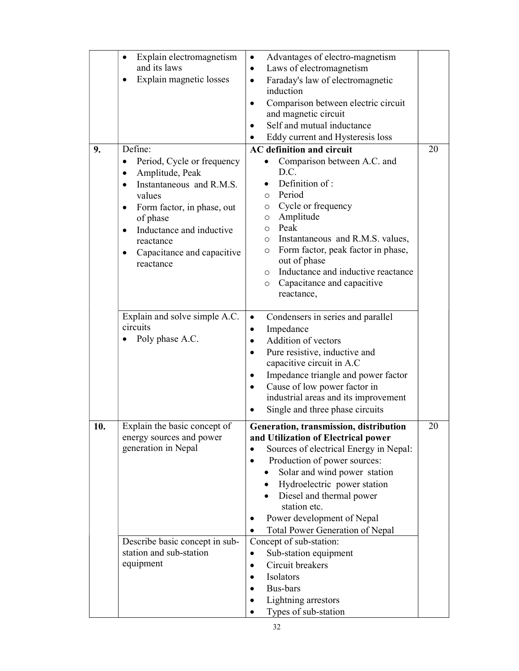| 9.  | Explain electromagnetism<br>$\bullet$<br>and its laws<br>Explain magnetic losses<br>Define:                                                                                                                                                                                        | Advantages of electro-magnetism<br>$\bullet$<br>Laws of electromagnetism<br>$\bullet$<br>Faraday's law of electromagnetic<br>$\bullet$<br>induction<br>Comparison between electric circuit<br>$\bullet$<br>and magnetic circuit<br>Self and mutual inductance<br>Eddy current and Hysteresis loss<br>$\bullet$<br><b>AC</b> definition and circuit                                                                                                                                                                                                          | 20 |
|-----|------------------------------------------------------------------------------------------------------------------------------------------------------------------------------------------------------------------------------------------------------------------------------------|-------------------------------------------------------------------------------------------------------------------------------------------------------------------------------------------------------------------------------------------------------------------------------------------------------------------------------------------------------------------------------------------------------------------------------------------------------------------------------------------------------------------------------------------------------------|----|
|     | Period, Cycle or frequency<br>$\bullet$<br>Amplitude, Peak<br>$\bullet$<br>Instantaneous and R.M.S.<br>$\bullet$<br>values<br>Form factor, in phase, out<br>$\bullet$<br>of phase<br>Inductance and inductive<br>$\bullet$<br>reactance<br>Capacitance and capacitive<br>reactance | Comparison between A.C. and<br>D.C.<br>Definition of:<br>Period<br>$\circ$<br>Cycle or frequency<br>O<br>Amplitude<br>$\circ$<br>Peak<br>$\circ$<br>Instantaneous and R.M.S. values,<br>$\circ$<br>Form factor, peak factor in phase,<br>$\circ$<br>out of phase<br>Inductance and inductive reactance<br>$\circ$<br>Capacitance and capacitive<br>O<br>reactance,                                                                                                                                                                                          |    |
|     | Explain and solve simple A.C.<br>circuits<br>Poly phase A.C.                                                                                                                                                                                                                       | Condensers in series and parallel<br>$\bullet$<br>Impedance<br>$\bullet$<br>Addition of vectors<br>$\bullet$<br>Pure resistive, inductive and<br>$\bullet$<br>capacitive circuit in A.C<br>Impedance triangle and power factor<br>$\bullet$<br>Cause of low power factor in<br>industrial areas and its improvement<br>Single and three phase circuits                                                                                                                                                                                                      |    |
| 10. | Explain the basic concept of<br>energy sources and power<br>generation in Nepal<br>Describe basic concept in sub-<br>station and sub-station<br>equipment                                                                                                                          | Generation, transmission, distribution<br>and Utilization of Electrical power<br>Sources of electrical Energy in Nepal:<br>Production of power sources:<br>$\bullet$<br>Solar and wind power station<br>Hydroelectric power station<br>Diesel and thermal power<br>station etc.<br>Power development of Nepal<br>$\bullet$<br><b>Total Power Generation of Nepal</b><br>$\bullet$<br>Concept of sub-station:<br>Sub-station equipment<br>$\bullet$<br>Circuit breakers<br>$\bullet$<br>Isolators<br>Bus-bars<br>Lightning arrestors<br>Types of sub-station | 20 |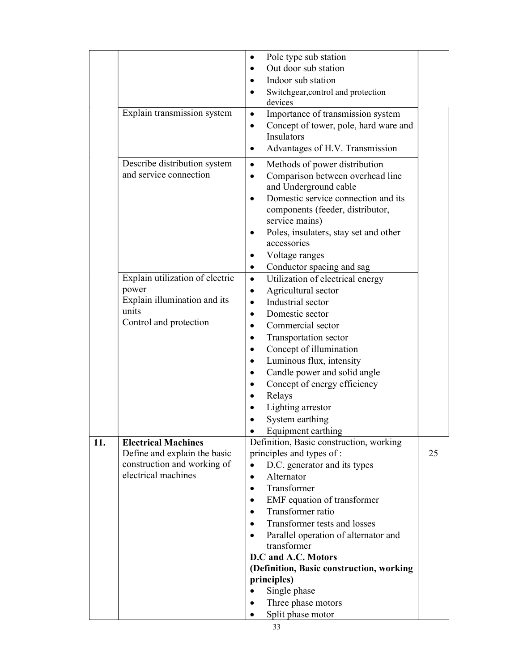|     |                                 | Pole type sub station<br>$\bullet$                                     |    |
|-----|---------------------------------|------------------------------------------------------------------------|----|
|     |                                 | Out door sub station<br>$\bullet$                                      |    |
|     |                                 | Indoor sub station<br>$\bullet$                                        |    |
|     |                                 | Switchgear, control and protection<br>$\bullet$                        |    |
|     |                                 | devices                                                                |    |
|     | Explain transmission system     | Importance of transmission system<br>$\bullet$                         |    |
|     |                                 | Concept of tower, pole, hard ware and<br>$\bullet$                     |    |
|     |                                 | <b>Insulators</b>                                                      |    |
|     |                                 | Advantages of H.V. Transmission<br>$\bullet$                           |    |
|     | Describe distribution system    | Methods of power distribution<br>$\bullet$                             |    |
|     | and service connection          |                                                                        |    |
|     |                                 | Comparison between overhead line<br>$\bullet$<br>and Underground cable |    |
|     |                                 | Domestic service connection and its<br>$\bullet$                       |    |
|     |                                 | components (feeder, distributor,                                       |    |
|     |                                 | service mains)                                                         |    |
|     |                                 | Poles, insulaters, stay set and other<br>٠                             |    |
|     |                                 | accessories                                                            |    |
|     |                                 | Voltage ranges<br>٠                                                    |    |
|     |                                 | Conductor spacing and sag                                              |    |
|     | Explain utilization of electric | $\bullet$                                                              |    |
|     | power                           | Utilization of electrical energy<br>$\bullet$                          |    |
|     | Explain illumination and its    | Agricultural sector<br>$\bullet$                                       |    |
|     | units                           | Industrial sector<br>$\bullet$                                         |    |
|     | Control and protection          | Domestic sector<br>$\bullet$                                           |    |
|     |                                 | Commercial sector<br>$\bullet$                                         |    |
|     |                                 | Transportation sector<br>$\bullet$                                     |    |
|     |                                 | Concept of illumination<br>٠                                           |    |
|     |                                 | Luminous flux, intensity<br>$\bullet$                                  |    |
|     |                                 | Candle power and solid angle<br>$\bullet$                              |    |
|     |                                 | Concept of energy efficiency<br>$\bullet$                              |    |
|     |                                 | Relays<br>$\bullet$                                                    |    |
|     |                                 | Lighting arrestor                                                      |    |
|     |                                 | System earthing                                                        |    |
|     |                                 | Equipment earthing                                                     |    |
| 11. | <b>Electrical Machines</b>      | Definition, Basic construction, working                                |    |
|     | Define and explain the basic    | principles and types of :                                              | 25 |
|     | construction and working of     | D.C. generator and its types                                           |    |
|     | electrical machines             | Alternator<br>$\bullet$                                                |    |
|     |                                 | Transformer<br>$\bullet$                                               |    |
|     |                                 | EMF equation of transformer                                            |    |
|     |                                 | Transformer ratio                                                      |    |
|     |                                 | Transformer tests and losses<br>$\bullet$                              |    |
|     |                                 | Parallel operation of alternator and                                   |    |
|     |                                 | transformer                                                            |    |
|     |                                 | D.C and A.C. Motors                                                    |    |
|     |                                 | (Definition, Basic construction, working                               |    |
|     |                                 | principles)                                                            |    |
|     |                                 | Single phase<br>$\bullet$                                              |    |
|     |                                 | Three phase motors                                                     |    |
|     |                                 | Split phase motor                                                      |    |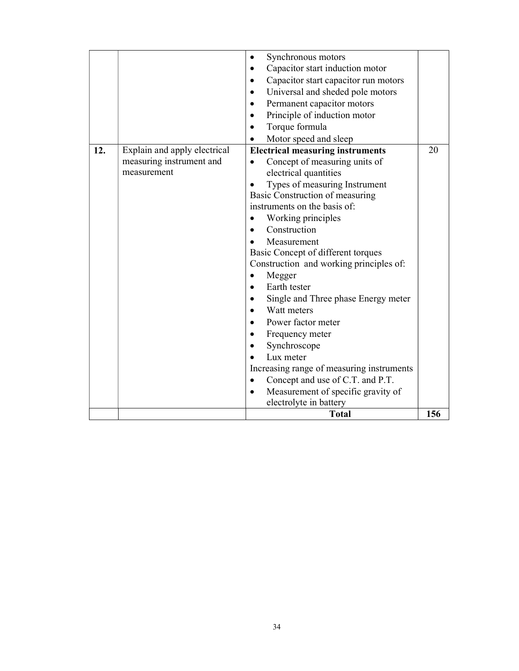|     |                              | Synchronous motors<br>$\bullet$                   |     |
|-----|------------------------------|---------------------------------------------------|-----|
|     |                              | Capacitor start induction motor                   |     |
|     |                              | Capacitor start capacitor run motors<br>$\bullet$ |     |
|     |                              | Universal and sheded pole motors<br>$\bullet$     |     |
|     |                              | Permanent capacitor motors                        |     |
|     |                              | Principle of induction motor<br>$\bullet$         |     |
|     |                              | Torque formula<br>$\bullet$                       |     |
|     |                              | Motor speed and sleep                             |     |
| 12. | Explain and apply electrical | <b>Electrical measuring instruments</b>           | 20  |
|     | measuring instrument and     | Concept of measuring units of                     |     |
|     | measurement                  | electrical quantities                             |     |
|     |                              | Types of measuring Instrument                     |     |
|     |                              | Basic Construction of measuring                   |     |
|     |                              | instruments on the basis of:                      |     |
|     |                              | Working principles                                |     |
|     |                              | Construction                                      |     |
|     |                              | Measurement                                       |     |
|     |                              | Basic Concept of different torques                |     |
|     |                              | Construction and working principles of:           |     |
|     |                              | Megger<br>$\bullet$                               |     |
|     |                              | Earth tester                                      |     |
|     |                              | Single and Three phase Energy meter               |     |
|     |                              | Watt meters                                       |     |
|     |                              | Power factor meter                                |     |
|     |                              | Frequency meter<br>$\bullet$                      |     |
|     |                              | Synchroscope                                      |     |
|     |                              | Lux meter                                         |     |
|     |                              | Increasing range of measuring instruments         |     |
|     |                              | Concept and use of C.T. and P.T.                  |     |
|     |                              | Measurement of specific gravity of                |     |
|     |                              | electrolyte in battery                            |     |
|     |                              | <b>Total</b>                                      | 156 |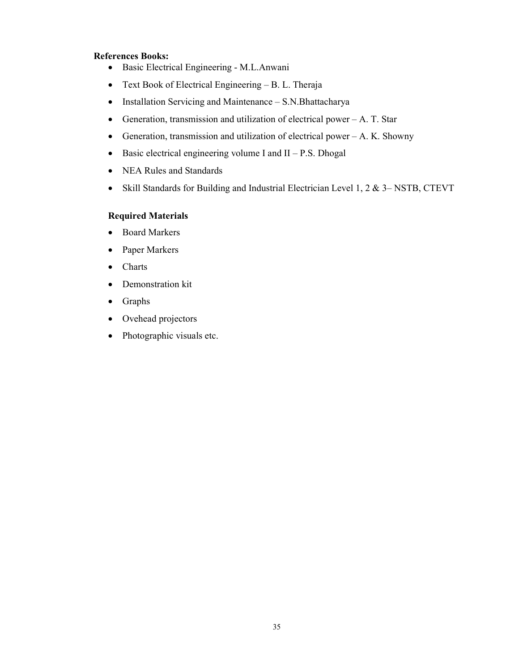### References Books:

- Basic Electrical Engineering M.L.Anwani
- Text Book of Electrical Engineering B. L. Theraja
- Installation Servicing and Maintenance S.N.Bhattacharya
- Generation, transmission and utilization of electrical power  $-A$ . T. Star
- Generation, transmission and utilization of electrical power  $-A$ . K. Showny
- $\bullet$  Basic electrical engineering volume I and II P.S. Dhogal
- NEA Rules and Standards
- Skill Standards for Building and Industrial Electrician Level 1, 2 & 3– NSTB, CTEVT

### Required Materials

- Board Markers
- Paper Markers
- Charts
- Demonstration kit
- Graphs
- Ovehead projectors
- Photographic visuals etc.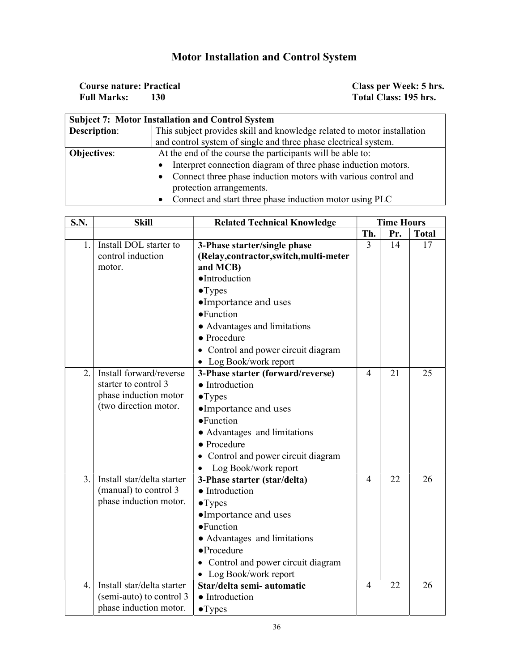## Motor Installation and Control System

| <b>Course nature: Practical</b> | Class per Week: 5 hrs. |
|---------------------------------|------------------------|
| <b>Full Marks:</b>              | Total Class: 195 hrs.  |

| <b>Subject 7: Motor Installation and Control System</b>                   |                                                                         |  |  |
|---------------------------------------------------------------------------|-------------------------------------------------------------------------|--|--|
| Description:                                                              | This subject provides skill and knowledge related to motor installation |  |  |
|                                                                           | and control system of single and three phase electrical system.         |  |  |
| At the end of the course the participants will be able to:<br>Objectives: |                                                                         |  |  |
|                                                                           | Interpret connection diagram of three phase induction motors.           |  |  |
|                                                                           | Connect three phase induction motors with various control and           |  |  |
| protection arrangements.                                                  |                                                                         |  |  |
|                                                                           | • Connect and start three phase induction motor using PLC               |  |  |

| <b>S.N.</b>      | <b>Skill</b>               | <b>Related Technical Knowledge</b>   | <b>Time Hours</b> |     |              |
|------------------|----------------------------|--------------------------------------|-------------------|-----|--------------|
|                  |                            |                                      | Th.               | Pr. | <b>Total</b> |
| 1.               | Install DOL starter to     | 3-Phase starter/single phase         | 3                 | 14  | 17           |
|                  | control induction          | (Relay,contractor,switch,multi-meter |                   |     |              |
|                  | motor.                     | and MCB)                             |                   |     |              |
|                  |                            | ·Introduction                        |                   |     |              |
|                  |                            | $\bullet$ Types                      |                   |     |              |
|                  |                            | •Importance and uses                 |                   |     |              |
|                  |                            | • Function                           |                   |     |              |
|                  |                            | • Advantages and limitations         |                   |     |              |
|                  |                            | • Procedure                          |                   |     |              |
|                  |                            | • Control and power circuit diagram  |                   |     |              |
|                  |                            | • Log Book/work report               |                   |     |              |
| $\overline{2}$ . | Install forward/reverse    | 3-Phase starter (forward/reverse)    | $\overline{4}$    | 21  | 25           |
|                  | starter to control 3       | • Introduction                       |                   |     |              |
|                  | phase induction motor      | $\bullet$ Types                      |                   |     |              |
|                  | (two direction motor.      | •Importance and uses                 |                   |     |              |
|                  |                            | • Function                           |                   |     |              |
|                  |                            | • Advantages and limitations         |                   |     |              |
|                  |                            | • Procedure                          |                   |     |              |
|                  |                            | Control and power circuit diagram    |                   |     |              |
|                  |                            | Log Book/work report<br>$\bullet$    |                   |     |              |
| 3.               | Install star/delta starter | 3-Phase starter (star/delta)         | $\overline{4}$    | 22  | 26           |
|                  | (manual) to control 3      | • Introduction                       |                   |     |              |
|                  | phase induction motor.     | $\bullet$ Types                      |                   |     |              |
|                  |                            | •Importance and uses                 |                   |     |              |
|                  |                            | • Function                           |                   |     |              |
|                  |                            | • Advantages and limitations         |                   |     |              |
|                  |                            | $\bullet$ Procedure                  |                   |     |              |
|                  |                            | Control and power circuit diagram    |                   |     |              |
|                  |                            | Log Book/work report<br>$\bullet$    |                   |     |              |
| 4.               | Install star/delta starter | Star/delta semi- automatic           | 4                 | 22  | 26           |
|                  | (semi-auto) to control 3   | • Introduction                       |                   |     |              |
|                  | phase induction motor.     | $\bullet$ Types                      |                   |     |              |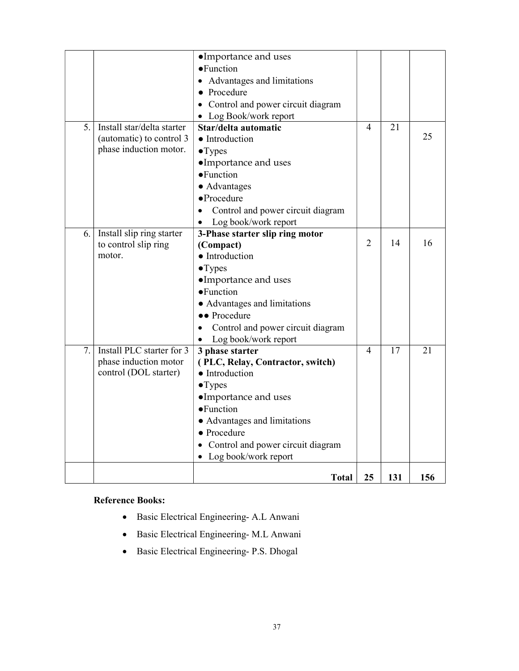|    |                            | •Importance and uses                           |                |     |     |
|----|----------------------------|------------------------------------------------|----------------|-----|-----|
|    |                            | • Function                                     |                |     |     |
|    |                            | Advantages and limitations                     |                |     |     |
|    |                            | Procedure                                      |                |     |     |
|    |                            | Control and power circuit diagram              |                |     |     |
|    |                            | • Log Book/work report                         |                |     |     |
| 5. | Install star/delta starter | Star/delta automatic                           | 4              | 21  |     |
|    | (automatic) to control 3   | • Introduction                                 |                |     | 25  |
|    | phase induction motor.     | $\bullet$ Types                                |                |     |     |
|    |                            | •Importance and uses                           |                |     |     |
|    |                            | • Function                                     |                |     |     |
|    |                            | • Advantages                                   |                |     |     |
|    |                            | $\bullet$ Procedure                            |                |     |     |
|    |                            | Control and power circuit diagram<br>$\bullet$ |                |     |     |
|    |                            | Log book/work report                           |                |     |     |
| 6. | Install slip ring starter  | 3-Phase starter slip ring motor                |                |     |     |
|    | to control slip ring       | (Compact)                                      | $\overline{2}$ | 14  | 16  |
|    | motor.                     | • Introduction                                 |                |     |     |
|    |                            | $\bullet$ Types                                |                |     |     |
|    |                            | •Importance and uses                           |                |     |     |
|    |                            | • Function                                     |                |     |     |
|    |                            | • Advantages and limitations                   |                |     |     |
|    |                            | •• Procedure                                   |                |     |     |
|    |                            | Control and power circuit diagram              |                |     |     |
|    |                            | Log book/work report                           |                |     |     |
| 7. | Install PLC starter for 3  | 3 phase starter                                | $\overline{4}$ | 17  | 21  |
|    | phase induction motor      | (PLC, Relay, Contractor, switch)               |                |     |     |
|    | control (DOL starter)      | • Introduction                                 |                |     |     |
|    |                            | •Types                                         |                |     |     |
|    |                            | •Importance and uses                           |                |     |     |
|    |                            | • Function                                     |                |     |     |
|    |                            | • Advantages and limitations                   |                |     |     |
|    |                            | • Procedure                                    |                |     |     |
|    |                            | Control and power circuit diagram              |                |     |     |
|    |                            | • Log book/work report                         |                |     |     |
|    |                            | <b>Total</b>                                   | 25             | 131 | 156 |

### Reference Books:

- Basic Electrical Engineering- A.L Anwani
- Basic Electrical Engineering- M.L Anwani
- Basic Electrical Engineering- P.S. Dhogal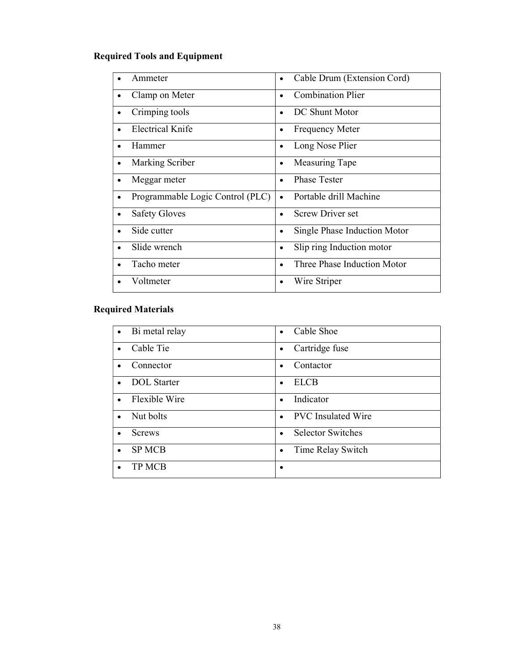### Required Tools and Equipment

| Ammeter                               | Cable Drum (Extension Cord)<br>$\bullet$  |
|---------------------------------------|-------------------------------------------|
| Clamp on Meter                        | <b>Combination Plier</b><br>$\bullet$     |
| Crimping tools<br>٠                   | DC Shunt Motor                            |
| Electrical Knife                      | <b>Frequency Meter</b><br>$\bullet$       |
| Hammer                                | Long Nose Plier<br>$\bullet$              |
| Marking Scriber<br>$\bullet$          | Measuring Tape<br>$\bullet$               |
| Meggar meter<br>٠                     | <b>Phase Tester</b><br>$\bullet$          |
| Programmable Logic Control (PLC)<br>٠ | Portable drill Machine                    |
| <b>Safety Gloves</b>                  | <b>Screw Driver set</b><br>$\bullet$      |
| Side cutter                           | Single Phase Induction Motor<br>$\bullet$ |
| Slide wrench                          | Slip ring Induction motor<br>$\bullet$    |
| Tacho meter                           | Three Phase Induction Motor<br>$\bullet$  |
| Voltmeter                             | Wire Striper                              |

### Required Materials

| Bi metal relay     | Cable Shoe                            |
|--------------------|---------------------------------------|
| $\bullet$          | $\bullet$                             |
| Cable Tie          | Cartridge fuse<br>$\bullet$           |
| Connector          | Contactor                             |
| $\bullet$          | $\bullet$                             |
| <b>DOL</b> Starter | <b>ELCB</b>                           |
| $\bullet$          | $\bullet$                             |
| Flexible Wire      | Indicator                             |
| $\bullet$          | $\bullet$                             |
| Nut bolts          | <b>PVC</b> Insulated Wire             |
| $\bullet$          | $\bullet$                             |
| <b>Screws</b>      | <b>Selector Switches</b><br>$\bullet$ |
| <b>SP MCB</b>      | Time Relay Switch                     |
| $\bullet$          | $\bullet$                             |
| <b>TP MCB</b>      | $\bullet$                             |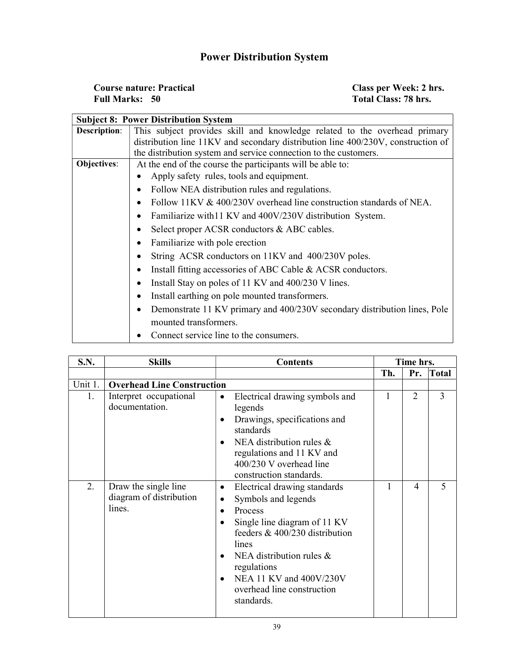## Power Distribution System

| <b>Course nature: Practical</b> | Class per Week: 2 hrs. |
|---------------------------------|------------------------|
| <b>Full Marks: 50</b>           | Total Class: 78 hrs.   |

 $\overline{\phantom{0}}$ 

|                                                                           | <b>Subject 8: Power Distribution System</b>                                         |  |  |  |  |  |  |
|---------------------------------------------------------------------------|-------------------------------------------------------------------------------------|--|--|--|--|--|--|
| <b>Description:</b>                                                       | This subject provides skill and knowledge related to the overhead primary           |  |  |  |  |  |  |
|                                                                           | distribution line 11KV and secondary distribution line 400/230V, construction of    |  |  |  |  |  |  |
|                                                                           | the distribution system and service connection to the customers.                    |  |  |  |  |  |  |
| Objectives:<br>At the end of the course the participants will be able to: |                                                                                     |  |  |  |  |  |  |
|                                                                           | Apply safety rules, tools and equipment.                                            |  |  |  |  |  |  |
|                                                                           | Follow NEA distribution rules and regulations.<br>٠                                 |  |  |  |  |  |  |
|                                                                           | Follow 11KV $\&$ 400/230V overhead line construction standards of NEA.<br>$\bullet$ |  |  |  |  |  |  |
|                                                                           | Familiarize with 11 KV and 400V/230V distribution System.<br>$\bullet$              |  |  |  |  |  |  |
|                                                                           | Select proper ACSR conductors & ABC cables.                                         |  |  |  |  |  |  |
|                                                                           | Familiarize with pole erection                                                      |  |  |  |  |  |  |
|                                                                           | String ACSR conductors on 11KV and 400/230V poles.                                  |  |  |  |  |  |  |
|                                                                           | Install fitting accessories of ABC Cable & ACSR conductors.<br>٠                    |  |  |  |  |  |  |
|                                                                           | Install Stay on poles of 11 KV and 400/230 V lines.<br>٠                            |  |  |  |  |  |  |
|                                                                           | Install earthing on pole mounted transformers.                                      |  |  |  |  |  |  |
|                                                                           | Demonstrate 11 KV primary and 400/230V secondary distribution lines, Pole           |  |  |  |  |  |  |
|                                                                           | mounted transformers.                                                               |  |  |  |  |  |  |
|                                                                           | Connect service line to the consumers.                                              |  |  |  |  |  |  |

| S.N.    | <b>Skills</b>                                             | <b>Contents</b>                                                                                                                                                                                                                                                                                                           | Time hrs. |                |              |
|---------|-----------------------------------------------------------|---------------------------------------------------------------------------------------------------------------------------------------------------------------------------------------------------------------------------------------------------------------------------------------------------------------------------|-----------|----------------|--------------|
|         |                                                           |                                                                                                                                                                                                                                                                                                                           | Th.       | Pr.            | <b>Total</b> |
| Unit 1. | <b>Overhead Line Construction</b>                         |                                                                                                                                                                                                                                                                                                                           |           |                |              |
| 1.      | Interpret occupational<br>documentation.                  | Electrical drawing symbols and<br>$\bullet$<br>legends<br>Drawings, specifications and<br>$\bullet$<br>standards<br>NEA distribution rules $\&$<br>$\bullet$<br>regulations and 11 KV and<br>400/230 V overhead line<br>construction standards.                                                                           | 1         | $\overline{2}$ | 3            |
| 2.      | Draw the single line<br>diagram of distribution<br>lines. | Electrical drawing standards<br>$\bullet$<br>Symbols and legends<br>٠<br>Process<br>$\bullet$<br>Single line diagram of 11 KV<br>feeders $& 400/230$ distribution<br>lines<br>NEA distribution rules $\&$<br>$\bullet$<br>regulations<br>NEA 11 KV and 400V/230V<br>$\bullet$<br>overhead line construction<br>standards. | 1         | 4              | 5            |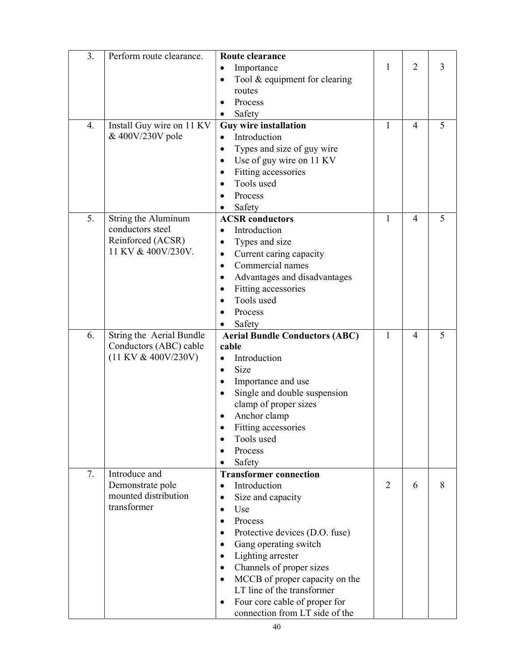| 3. | Perform route clearance.                | Route clearance                            |                |   |   |
|----|-----------------------------------------|--------------------------------------------|----------------|---|---|
|    |                                         | Importance<br>$\bullet$                    | 1              | 2 | 3 |
|    |                                         | Tool & equipment for clearing<br>٠         |                |   |   |
|    |                                         | routes                                     |                |   |   |
|    |                                         | Process<br>٠                               |                |   |   |
|    |                                         | Safety                                     |                |   |   |
| 4. | Install Guy wire on 11 KV               | <b>Guy wire installation</b>               | $\mathbf{1}$   | 4 | 5 |
|    | & 400V/230V pole                        | Introduction                               |                |   |   |
|    |                                         | Types and size of guy wire                 |                |   |   |
|    |                                         |                                            |                |   |   |
|    |                                         | Use of guy wire on 11 KV<br>$\bullet$      |                |   |   |
|    |                                         | Fitting accessories<br>٠<br>Tools used     |                |   |   |
|    |                                         | $\bullet$                                  |                |   |   |
|    |                                         | Process                                    |                |   |   |
|    |                                         | Safety                                     |                |   |   |
| 5. | String the Aluminum<br>conductors steel | <b>ACSR</b> conductors                     | 1              | 4 | 5 |
|    |                                         | Introduction<br>$\bullet$                  |                |   |   |
|    | Reinforced (ACSR)<br>11 KV & 400V/230V. | Types and size<br>$\bullet$                |                |   |   |
|    |                                         | Current caring capacity<br>$\bullet$       |                |   |   |
|    |                                         | Commercial names<br>$\bullet$              |                |   |   |
|    |                                         | Advantages and disadvantages<br>$\bullet$  |                |   |   |
|    |                                         | Fitting accessories<br>٠                   |                |   |   |
|    |                                         | Tools used<br>$\bullet$                    |                |   |   |
|    |                                         | Process                                    |                |   |   |
|    |                                         | Safety                                     |                |   |   |
|    | String the Aerial Bundle                | <b>Aerial Bundle Conductors (ABC)</b>      | 1              | 4 | 5 |
| 6. |                                         |                                            |                |   |   |
|    | Conductors (ABC) cable                  | cable                                      |                |   |   |
|    | $(11$ KV & 400V/230V)                   | Introduction<br>$\bullet$                  |                |   |   |
|    |                                         | Size<br>$\bullet$                          |                |   |   |
|    |                                         | Importance and use<br>٠                    |                |   |   |
|    |                                         | Single and double suspension<br>$\bullet$  |                |   |   |
|    |                                         | clamp of proper sizes                      |                |   |   |
|    |                                         | Anchor clamp                               |                |   |   |
|    |                                         | Fitting accessories                        |                |   |   |
|    |                                         | Tools used                                 |                |   |   |
|    |                                         | Process                                    |                |   |   |
|    |                                         | Safety                                     |                |   |   |
| 7. | Introduce and                           | <b>Transformer connection</b>              |                |   |   |
|    | Demonstrate pole                        | Introduction<br>$\bullet$                  | $\overline{2}$ | 6 | 8 |
|    | mounted distribution                    | Size and capacity<br>٠                     |                |   |   |
|    | transformer                             | Use<br>$\bullet$                           |                |   |   |
|    |                                         | Process<br>$\bullet$                       |                |   |   |
|    |                                         | Protective devices (D.O. fuse)<br>٠        |                |   |   |
|    |                                         | Gang operating switch<br>٠                 |                |   |   |
|    |                                         | Lighting arrester<br>$\bullet$             |                |   |   |
|    |                                         | Channels of proper sizes<br>٠              |                |   |   |
|    |                                         | MCCB of proper capacity on the             |                |   |   |
|    |                                         | LT line of the transformer                 |                |   |   |
|    |                                         | Four core cable of proper for<br>$\bullet$ |                |   |   |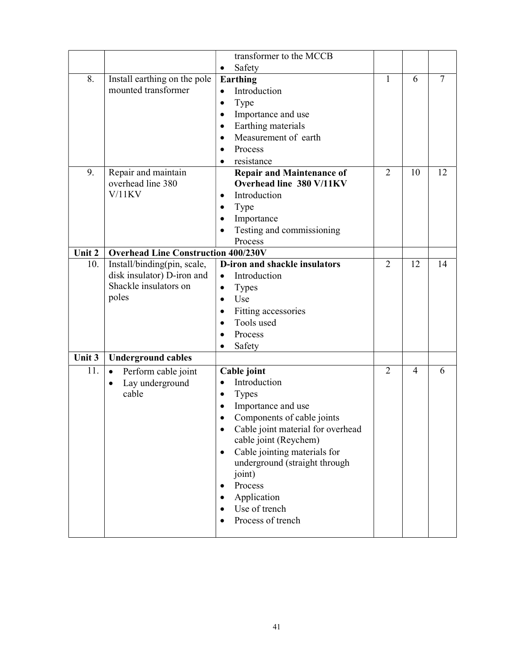|        |                                            | transformer to the MCCB                   |                |    |                |
|--------|--------------------------------------------|-------------------------------------------|----------------|----|----------------|
|        |                                            | Safety<br>$\bullet$                       |                |    |                |
| 8.     | Install earthing on the pole               | Earthing                                  | $\mathbf{1}$   | 6  | $\overline{7}$ |
|        | mounted transformer                        | Introduction<br>$\bullet$                 |                |    |                |
|        |                                            | Type<br>$\bullet$                         |                |    |                |
|        |                                            | Importance and use<br>$\bullet$           |                |    |                |
|        |                                            | Earthing materials<br>$\bullet$           |                |    |                |
|        |                                            | Measurement of earth<br>$\bullet$         |                |    |                |
|        |                                            | Process<br>$\bullet$                      |                |    |                |
|        |                                            | resistance                                |                |    |                |
| 9.     | Repair and maintain                        | <b>Repair and Maintenance of</b>          | $\overline{2}$ | 10 | 12             |
|        | overhead line 380                          | Overhead line 380 V/11KV                  |                |    |                |
|        | $V/11$ KV                                  | Introduction<br>$\bullet$                 |                |    |                |
|        |                                            | Type                                      |                |    |                |
|        |                                            | Importance                                |                |    |                |
|        |                                            | Testing and commissioning                 |                |    |                |
|        |                                            | Process                                   |                |    |                |
| Unit 2 | <b>Overhead Line Construction 400/230V</b> |                                           |                |    |                |
| 10.    | Install/binding(pin, scale,                | D-iron and shackle insulators             | $\overline{2}$ | 12 | 14             |
|        | disk insulator) D-iron and                 | Introduction<br>$\bullet$                 |                |    |                |
|        | Shackle insulators on                      | <b>Types</b><br>$\bullet$                 |                |    |                |
|        | poles                                      | Use<br>$\bullet$                          |                |    |                |
|        |                                            | Fitting accessories<br>$\bullet$          |                |    |                |
|        |                                            | Tools used<br>$\bullet$                   |                |    |                |
|        |                                            | Process<br>$\bullet$                      |                |    |                |
|        |                                            | Safety                                    |                |    |                |
| Unit 3 | <b>Underground cables</b>                  |                                           |                |    |                |
| 11.    | Perform cable joint<br>$\bullet$           | Cable joint                               | $\overline{2}$ | 4  | 6              |
|        | Lay underground<br>٠                       | Introduction<br>$\bullet$                 |                |    |                |
|        | cable                                      | <b>Types</b><br>$\bullet$                 |                |    |                |
|        |                                            | Importance and use<br>٠                   |                |    |                |
|        |                                            | Components of cable joints                |                |    |                |
|        |                                            | Cable joint material for overhead         |                |    |                |
|        |                                            | cable joint (Reychem)                     |                |    |                |
|        |                                            | Cable jointing materials for<br>$\bullet$ |                |    |                |
|        |                                            | underground (straight through             |                |    |                |
|        |                                            | joint)<br>Process                         |                |    |                |
|        |                                            |                                           |                |    |                |
|        |                                            | Application<br>Use of trench              |                |    |                |
|        |                                            | Process of trench                         |                |    |                |
|        |                                            |                                           |                |    |                |
|        |                                            |                                           |                |    |                |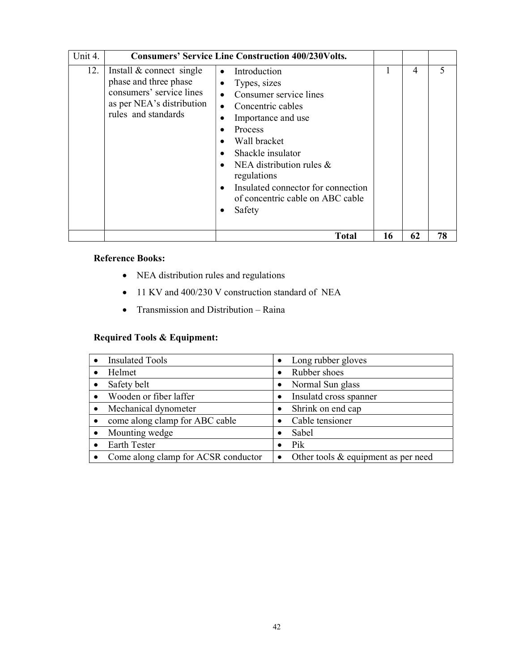| Unit 4. |                                                                                                                                   | <b>Consumers' Service Line Construction 400/230Volts.</b>                                                                                                                                                                                                                                                                                                                                        |    |                |    |
|---------|-----------------------------------------------------------------------------------------------------------------------------------|--------------------------------------------------------------------------------------------------------------------------------------------------------------------------------------------------------------------------------------------------------------------------------------------------------------------------------------------------------------------------------------------------|----|----------------|----|
| 12.     | Install & connect single<br>phase and three phase<br>consumers' service lines<br>as per NEA's distribution<br>rules and standards | Introduction<br>$\bullet$<br>Types, sizes<br>$\bullet$<br>Consumer service lines<br>$\bullet$<br>Concentric cables<br>$\bullet$<br>Importance and use<br>$\bullet$<br>Process<br>Wall bracket<br>Shackle insulator<br>$\bullet$<br>NEA distribution rules $\&$<br>$\bullet$<br>regulations<br>Insulated connector for connection<br>$\bullet$<br>of concentric cable on ABC cable<br>Safety<br>٠ |    | $\overline{4}$ | 5  |
|         |                                                                                                                                   | <b>Total</b>                                                                                                                                                                                                                                                                                                                                                                                     | 16 | 62             | 78 |

### Reference Books:

- NEA distribution rules and regulations
- 11 KV and 400/230 V construction standard of NEA
- Transmission and Distribution Raina

### Required Tools & Equipment:

| <b>Insulated Tools</b>                | • Long rubber gloves                             |
|---------------------------------------|--------------------------------------------------|
| Helmet                                | Rubber shoes                                     |
| Safety belt                           | Normal Sun glass                                 |
| Wooden or fiber laffer<br>$\bullet$   | Insulatd cross spanner                           |
| Mechanical dynometer<br>$\bullet$     | Shrink on end cap                                |
| come along clamp for ABC cable        | Cable tensioner                                  |
| Mounting wedge                        | Sabel                                            |
| <b>Earth Tester</b>                   | Pik                                              |
| • Come along clamp for ACSR conductor | Other tools & equipment as per need<br>$\bullet$ |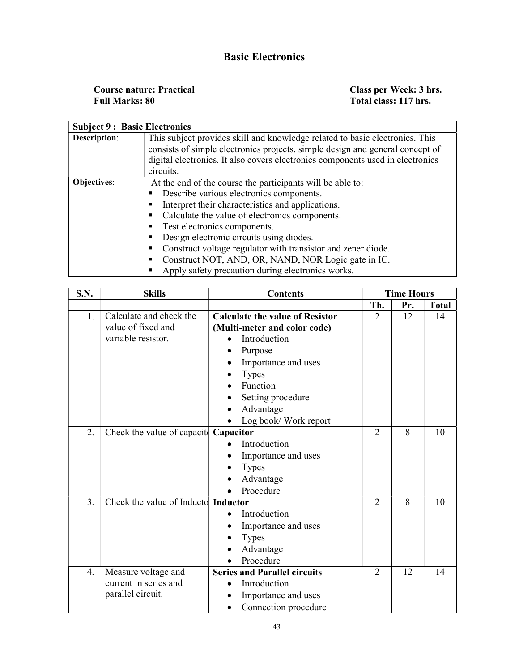### Basic Electronics

Course nature: Practical Class per Week: 3 hrs. Full Marks: 80 Total class: 117 hrs.

| <b>Subject 9: Basic Electronics</b>                                       |                                                                                                                                                               |  |  |  |  |
|---------------------------------------------------------------------------|---------------------------------------------------------------------------------------------------------------------------------------------------------------|--|--|--|--|
| <b>Description:</b>                                                       | This subject provides skill and knowledge related to basic electronics. This<br>consists of simple electronics projects, simple design and general concept of |  |  |  |  |
|                                                                           | digital electronics. It also covers electronics components used in electronics                                                                                |  |  |  |  |
|                                                                           | circuits.                                                                                                                                                     |  |  |  |  |
| At the end of the course the participants will be able to:<br>Objectives: |                                                                                                                                                               |  |  |  |  |
|                                                                           | Describe various electronics components.                                                                                                                      |  |  |  |  |
|                                                                           | Interpret their characteristics and applications.                                                                                                             |  |  |  |  |
|                                                                           | Calculate the value of electronics components.                                                                                                                |  |  |  |  |
|                                                                           | Test electronics components.                                                                                                                                  |  |  |  |  |
|                                                                           | Design electronic circuits using diodes.                                                                                                                      |  |  |  |  |
|                                                                           | Construct voltage regulator with transistor and zener diode.                                                                                                  |  |  |  |  |
|                                                                           | Construct NOT, AND, OR, NAND, NOR Logic gate in IC.                                                                                                           |  |  |  |  |
|                                                                           | Apply safety precaution during electronics works.                                                                                                             |  |  |  |  |

| <b>S.N.</b> | <b>Skills</b>                         | <b>Contents</b>                        |                |     | <b>Time Hours</b> |  |
|-------------|---------------------------------------|----------------------------------------|----------------|-----|-------------------|--|
|             |                                       |                                        | Th.            | Pr. | <b>Total</b>      |  |
| 1.          | Calculate and check the               | <b>Calculate the value of Resistor</b> | $\overline{2}$ | 12  | 14                |  |
|             | value of fixed and                    | (Multi-meter and color code)           |                |     |                   |  |
|             | variable resistor.                    | Introduction                           |                |     |                   |  |
|             |                                       | Purpose                                |                |     |                   |  |
|             |                                       | Importance and uses                    |                |     |                   |  |
|             |                                       | <b>Types</b>                           |                |     |                   |  |
|             |                                       | Function                               |                |     |                   |  |
|             |                                       | Setting procedure                      |                |     |                   |  |
|             |                                       | Advantage                              |                |     |                   |  |
|             |                                       | Log book/ Work report                  |                |     |                   |  |
| 2.          | Check the value of capacity Capacitor |                                        | $\overline{2}$ | 8   | 10                |  |
|             |                                       | Introduction                           |                |     |                   |  |
|             |                                       | Importance and uses                    |                |     |                   |  |
|             |                                       | <b>Types</b>                           |                |     |                   |  |
|             |                                       | Advantage                              |                |     |                   |  |
|             |                                       | Procedure                              |                |     |                   |  |
| 3.          | Check the value of Inducto Inductor   |                                        | $\overline{2}$ | 8   | 10                |  |
|             |                                       | Introduction                           |                |     |                   |  |
|             |                                       | Importance and uses                    |                |     |                   |  |
|             |                                       | <b>Types</b><br>$\bullet$              |                |     |                   |  |
|             |                                       | Advantage                              |                |     |                   |  |
|             |                                       | Procedure                              |                |     |                   |  |
| 4.          | Measure voltage and                   | <b>Series and Parallel circuits</b>    | $\overline{2}$ | 12  | 14                |  |
|             | current in series and                 | Introduction                           |                |     |                   |  |
|             | parallel circuit.                     | Importance and uses                    |                |     |                   |  |
|             |                                       | Connection procedure                   |                |     |                   |  |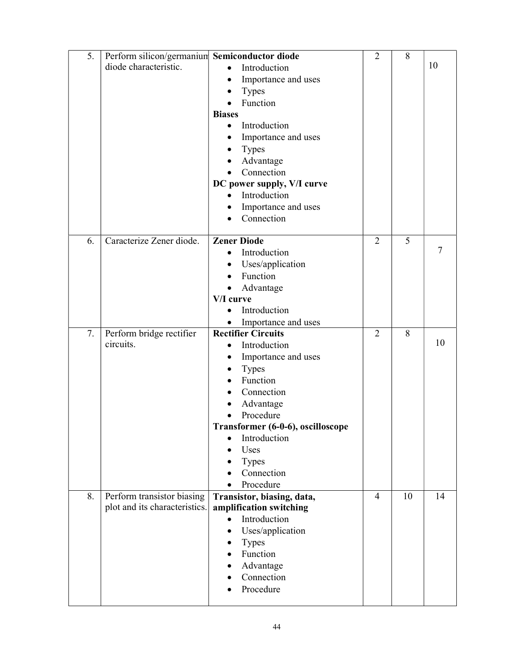| 5. | Perform silicon/germanium Semiconductor diode |                                     | $\overline{2}$ | 8  |        |
|----|-----------------------------------------------|-------------------------------------|----------------|----|--------|
|    | diode characteristic.                         | Introduction<br>$\bullet$           |                |    | 10     |
|    |                                               | Importance and uses<br>٠            |                |    |        |
|    |                                               | <b>Types</b>                        |                |    |        |
|    |                                               | Function                            |                |    |        |
|    |                                               | <b>Biases</b>                       |                |    |        |
|    |                                               | Introduction<br>$\bullet$           |                |    |        |
|    |                                               | Importance and uses                 |                |    |        |
|    |                                               | <b>Types</b><br>$\bullet$           |                |    |        |
|    |                                               | Advantage                           |                |    |        |
|    |                                               | Connection<br>$\bullet$             |                |    |        |
|    |                                               | DC power supply, V/I curve          |                |    |        |
|    |                                               | Introduction                        |                |    |        |
|    |                                               | Importance and uses                 |                |    |        |
|    |                                               | Connection                          |                |    |        |
|    |                                               |                                     |                |    |        |
| 6. | Caracterize Zener diode.                      | <b>Zener Diode</b>                  | $\overline{2}$ | 5  | $\tau$ |
|    |                                               | Introduction                        |                |    |        |
|    |                                               | Uses/application<br>$\bullet$       |                |    |        |
|    |                                               | Function<br>$\bullet$               |                |    |        |
|    |                                               | Advantage<br>$\bullet$<br>V/I curve |                |    |        |
|    |                                               | Introduction<br>$\bullet$           |                |    |        |
|    |                                               | Importance and uses<br>$\bullet$    |                |    |        |
| 7. | Perform bridge rectifier                      | <b>Rectifier Circuits</b>           | $\overline{2}$ | 8  |        |
|    | circuits.                                     | Introduction                        |                |    | 10     |
|    |                                               | Importance and uses                 |                |    |        |
|    |                                               | <b>Types</b>                        |                |    |        |
|    |                                               | Function                            |                |    |        |
|    |                                               | Connection                          |                |    |        |
|    |                                               | Advantage                           |                |    |        |
|    |                                               | Procedure                           |                |    |        |
|    |                                               | Transformer (6-0-6), oscilloscope   |                |    |        |
|    |                                               | Introduction                        |                |    |        |
|    |                                               | Uses                                |                |    |        |
|    |                                               | Types                               |                |    |        |
|    |                                               | Connection                          |                |    |        |
|    |                                               | Procedure                           |                |    |        |
| 8. | Perform transistor biasing                    | Transistor, biasing, data,          | $\overline{4}$ | 10 | 14     |
|    | plot and its characteristics.                 | amplification switching             |                |    |        |
|    |                                               | Introduction<br>$\bullet$           |                |    |        |
|    |                                               | Uses/application<br>$\bullet$       |                |    |        |
|    |                                               | Types                               |                |    |        |
|    |                                               | Function<br>$\bullet$               |                |    |        |
|    |                                               | Advantage<br>Connection             |                |    |        |
|    |                                               | Procedure                           |                |    |        |
|    |                                               |                                     |                |    |        |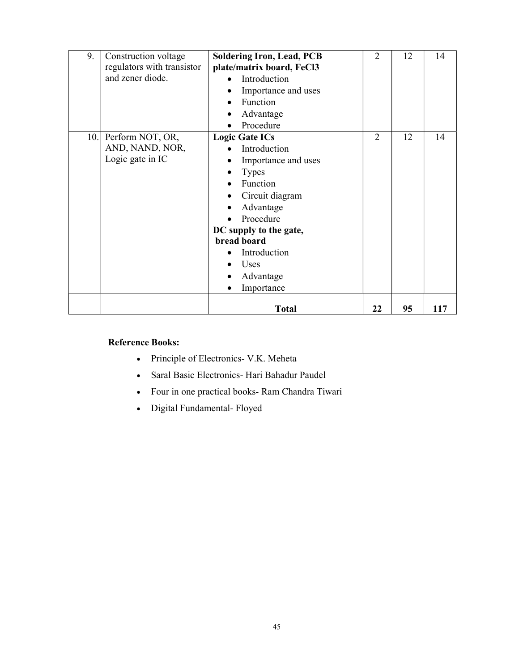| 9.  | Construction voltage<br>regulators with transistor<br>and zener diode. | <b>Soldering Iron, Lead, PCB</b><br>plate/matrix board, FeCl3<br>Introduction<br>Importance and uses<br>Function<br>Advantage<br>Procedure                                                                                        | $\overline{2}$ | 12 | 14  |
|-----|------------------------------------------------------------------------|-----------------------------------------------------------------------------------------------------------------------------------------------------------------------------------------------------------------------------------|----------------|----|-----|
| 10. | Perform NOT, OR,<br>AND, NAND, NOR,<br>Logic gate in IC                | <b>Logic Gate ICs</b><br>Introduction<br>Importance and uses<br><b>Types</b><br>Function<br>Circuit diagram<br>Advantage<br>Procedure<br>DC supply to the gate,<br>bread board<br>Introduction<br>Uses<br>Advantage<br>Importance | $\overline{2}$ | 12 | 14  |
|     |                                                                        | <b>Total</b>                                                                                                                                                                                                                      | 22             | 95 | 117 |

### Reference Books:

- Principle of Electronics- V.K. Meheta
- Saral Basic Electronics- Hari Bahadur Paudel
- Four in one practical books- Ram Chandra Tiwari
- Digital Fundamental- Floyed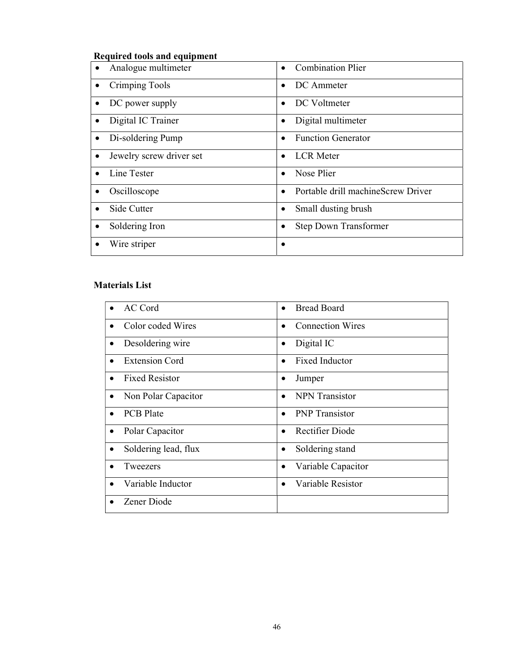### Required tools and equipment

| Analogue multimeter                   | <b>Combination Plier</b>                        |
|---------------------------------------|-------------------------------------------------|
| Crimping Tools<br>$\bullet$           | DC Ammeter                                      |
| DC power supply<br>٠                  | DC Voltmeter                                    |
| Digital IC Trainer<br>٠               | Digital multimeter                              |
| Di-soldering Pump<br>$\bullet$        | <b>Function Generator</b>                       |
| Jewelry screw driver set<br>$\bullet$ | <b>LCR</b> Meter                                |
| Line Tester                           | Nose Plier                                      |
| Oscilloscope<br>$\bullet$             | Portable drill machineScrew Driver<br>$\bullet$ |
| Side Cutter                           | Small dusting brush                             |
| Soldering Iron<br>$\bullet$           | <b>Step Down Transformer</b>                    |
| Wire striper                          |                                                 |

### Materials List

| <b>AC</b> Cord                    | <b>Bread Board</b>                  |
|-----------------------------------|-------------------------------------|
| Color coded Wires<br>$\bullet$    | <b>Connection Wires</b>             |
| Desoldering wire<br>$\bullet$     | Digital IC<br>$\bullet$             |
| <b>Extension Cord</b>             | <b>Fixed Inductor</b>               |
| <b>Fixed Resistor</b>             | Jumper<br>$\bullet$                 |
| Non Polar Capacitor<br>$\bullet$  | <b>NPN</b> Transistor               |
| <b>PCB</b> Plate<br>$\bullet$     | <b>PNP</b> Transistor               |
| Polar Capacitor<br>$\bullet$      | <b>Rectifier Diode</b><br>$\bullet$ |
| Soldering lead, flux<br>$\bullet$ | Soldering stand<br>$\bullet$        |
| Tweezers                          | Variable Capacitor<br>$\bullet$     |
| Variable Inductor                 | Variable Resistor<br>$\bullet$      |
| Zener Diode                       |                                     |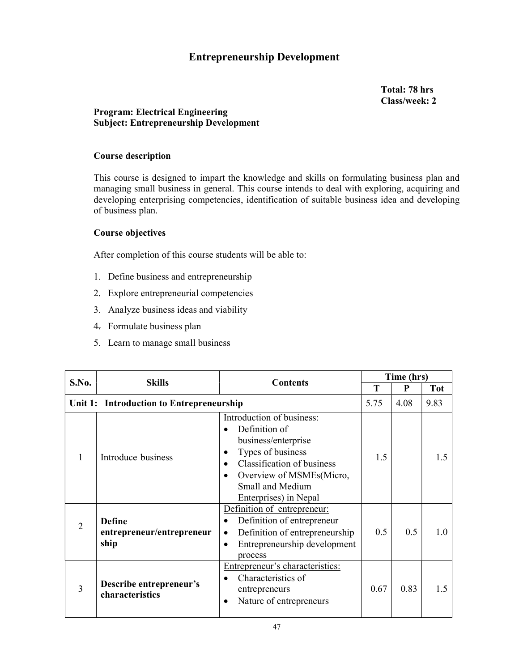### Entrepreneurship Development

Total: 78 hrs Class/week: 2

### Program: Electrical Engineering Subject: Entrepreneurship Development

### Course description

This course is designed to impart the knowledge and skills on formulating business plan and managing small business in general. This course intends to deal with exploring, acquiring and developing enterprising competencies, identification of suitable business idea and developing of business plan.

### Course objectives

After completion of this course students will be able to:

- 1. Define business and entrepreneurship
- 2. Explore entrepreneurial competencies
- 3. Analyze business ideas and viability
- 4. Formulate business plan
- 5. Learn to manage small business

| S.No.                                    | <b>Skills</b><br><b>Contents</b>                   |                                                                                                                                                                                                      | Time (hrs) |      |            |
|------------------------------------------|----------------------------------------------------|------------------------------------------------------------------------------------------------------------------------------------------------------------------------------------------------------|------------|------|------------|
|                                          |                                                    |                                                                                                                                                                                                      | T          | P    | <b>Tot</b> |
| Unit 1: Introduction to Entrepreneurship |                                                    |                                                                                                                                                                                                      | 5.75       | 4.08 | 9.83       |
|                                          | Introduce business                                 | Introduction of business:<br>Definition of<br>business/enterprise<br>Types of business<br><b>Classification of business</b><br>Overview of MSMEs(Micro,<br>Small and Medium<br>Enterprises) in Nepal | 1.5        |      | 1.5        |
| $\overline{2}$                           | <b>Define</b><br>entrepreneur/entrepreneur<br>ship | Definition of entrepreneur:<br>Definition of entrepreneur<br>Definition of entrepreneurship<br>Entrepreneurship development<br>٠<br>process                                                          | 0.5        | 0.5  | 1.0        |
| 3                                        | Describe entrepreneur's<br>characteristics         | Entrepreneur's characteristics:<br>Characteristics of<br>entrepreneurs<br>Nature of entrepreneurs<br>$\bullet$                                                                                       | 0.67       | 0.83 | 1.5        |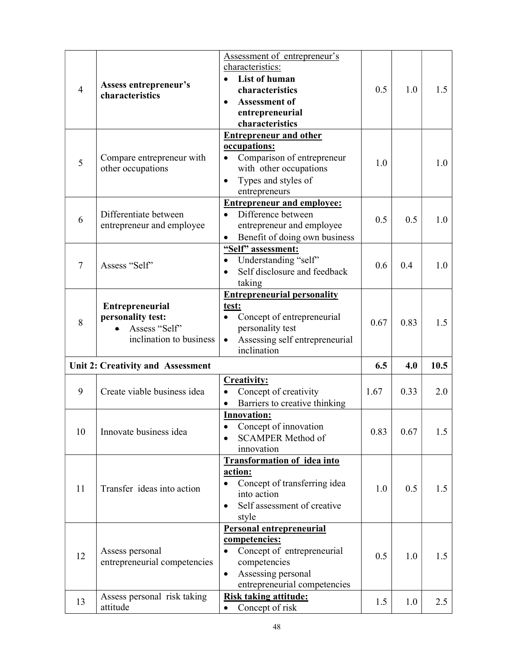| $\overline{4}$ | Assess entrepreneur's<br>characteristics                     | Assessment of entrepreneur's<br>characteristics:<br>List of human<br>characteristics<br><b>Assessment of</b><br>$\bullet$<br>entrepreneurial<br>characteristics                                         | 0.5  | 1.0  | 1.5  |
|----------------|--------------------------------------------------------------|---------------------------------------------------------------------------------------------------------------------------------------------------------------------------------------------------------|------|------|------|
| 5              | Compare entrepreneur with<br>other occupations               | <b>Entrepreneur and other</b><br>occupations:<br>Comparison of entrepreneur<br>with other occupations<br>Types and styles of<br>$\bullet$<br>entrepreneurs                                              | 1.0  |      | 1.0  |
| 6              | Differentiate between<br>entrepreneur and employee           | <b>Entrepreneur and employee:</b><br>Difference between<br>$\bullet$<br>entrepreneur and employee<br>Benefit of doing own business                                                                      | 0.5  | 0.5  | 1.0  |
| 7              | Assess "Self"                                                | "Self" assessment:<br>Understanding "self"<br>$\bullet$<br>Self disclosure and feedback<br>taking                                                                                                       | 0.6  | 0.4  | 1.0  |
| 8              | <b>Entrepreneurial</b><br>personality test:<br>Assess "Self" | <b>Entrepreneurial personality</b><br>test:<br>Concept of entrepreneurial<br>personality test                                                                                                           | 0.67 | 0.83 | 1.5  |
|                | inclination to business                                      | Assessing self entrepreneurial<br>inclination                                                                                                                                                           |      |      |      |
|                | Unit 2: Creativity and Assessment                            |                                                                                                                                                                                                         | 6.5  | 4.0  | 10.5 |
| 9              | Create viable business idea                                  | <b>Creativity:</b><br>Concept of creativity<br>$\bullet$<br>Barriers to creative thinking<br>$\bullet$                                                                                                  | 1.67 | 0.33 | 2.0  |
| 10             | Innovate business idea                                       | <b>Innovation:</b><br>Concept of innovation<br><b>SCAMPER Method of</b><br>innovation                                                                                                                   | 0.83 | 0.67 | 1.5  |
| 11             | Transfer ideas into action                                   | <b>Transformation of idea into</b><br>action:<br>Concept of transferring idea<br>into action<br>Self assessment of creative<br>$\bullet$<br>style                                                       | 1.0  | 0.5  | 1.5  |
| 12             | Assess personal<br>entrepreneurial competencies              | Personal entrepreneurial<br>competencies:<br>Concept of entrepreneurial<br>$\bullet$<br>competencies<br>Assessing personal<br>$\bullet$<br>entrepreneurial competencies<br><b>Risk taking attitude:</b> | 0.5  | 1.0  | 1.5  |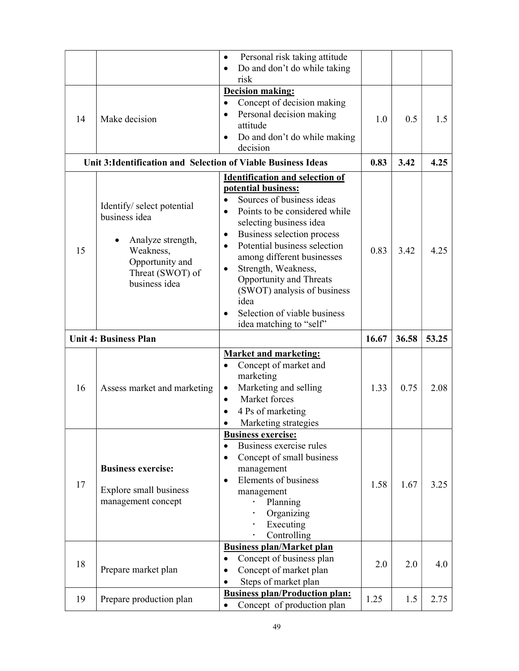|    |                                                               | Personal risk taking attitude<br>$\bullet$                    |       |       |       |
|----|---------------------------------------------------------------|---------------------------------------------------------------|-------|-------|-------|
|    |                                                               | Do and don't do while taking<br>$\bullet$                     |       |       |       |
|    |                                                               | risk                                                          |       |       |       |
|    |                                                               | Decision making:                                              |       |       |       |
|    |                                                               | Concept of decision making<br>$\bullet$                       |       |       |       |
|    |                                                               | Personal decision making<br>$\bullet$                         |       |       |       |
| 14 | Make decision                                                 | attitude                                                      | 1.0   | 0.5   | 1.5   |
|    |                                                               | Do and don't do while making<br>$\bullet$                     |       |       |       |
|    |                                                               | decision                                                      |       |       |       |
|    | Unit 3: Identification and Selection of Viable Business Ideas |                                                               | 0.83  | 3.42  | 4.25  |
|    |                                                               |                                                               |       |       |       |
|    |                                                               | <b>Identification and selection of</b><br>potential business: |       |       |       |
|    |                                                               | Sources of business ideas<br>$\bullet$                        |       |       |       |
|    | Identify/ select potential                                    | Points to be considered while                                 |       |       |       |
|    | business idea                                                 | $\bullet$                                                     |       |       |       |
|    |                                                               | selecting business idea                                       |       |       |       |
|    | Analyze strength,                                             | Business selection process<br>$\bullet$                       |       |       |       |
| 15 | Weakness,                                                     | Potential business selection<br>$\bullet$                     | 0.83  | 3.42  | 4.25  |
|    | Opportunity and                                               | among different businesses                                    |       |       |       |
|    | Threat (SWOT) of                                              | Strength, Weakness,                                           |       |       |       |
|    | business idea                                                 | <b>Opportunity and Threats</b>                                |       |       |       |
|    |                                                               | (SWOT) analysis of business                                   |       |       |       |
|    |                                                               | idea                                                          |       |       |       |
|    |                                                               | Selection of viable business<br>$\bullet$                     |       |       |       |
|    |                                                               | idea matching to "self"                                       |       |       |       |
|    |                                                               |                                                               |       |       |       |
|    | <b>Unit 4: Business Plan</b>                                  |                                                               | 16.67 | 36.58 | 53.25 |
|    |                                                               | <b>Market and marketing:</b>                                  |       |       |       |
|    |                                                               | Concept of market and<br>$\bullet$                            |       |       |       |
|    |                                                               | marketing                                                     |       |       |       |
| 16 | Assess market and marketing                                   | Marketing and selling<br>$\bullet$                            | 1.33  | 0.75  | 2.08  |
|    |                                                               | Market forces<br>$\bullet$                                    |       |       |       |
|    |                                                               | 4 Ps of marketing<br>$\bullet$                                |       |       |       |
|    |                                                               | Marketing strategies<br>$\bullet$                             |       |       |       |
|    |                                                               | <b>Business exercise:</b>                                     |       |       |       |
|    |                                                               | Business exercise rules<br>$\bullet$                          |       |       |       |
|    |                                                               | Concept of small business<br>$\bullet$                        |       |       |       |
|    | <b>Business exercise:</b>                                     | management                                                    |       |       |       |
|    |                                                               | Elements of business<br>$\bullet$                             |       |       |       |
| 17 | Explore small business                                        |                                                               | 1.58  | 1.67  | 3.25  |
|    | management concept                                            | management<br>Planning                                        |       |       |       |
|    |                                                               | Organizing                                                    |       |       |       |
|    |                                                               | Executing                                                     |       |       |       |
|    |                                                               | Controlling                                                   |       |       |       |
|    |                                                               | <b>Business plan/Market plan</b>                              |       |       |       |
|    |                                                               | Concept of business plan                                      |       |       |       |
| 18 | Prepare market plan                                           | Concept of market plan<br>$\bullet$                           | 2.0   | 2.0   | 4.0   |
|    |                                                               | Steps of market plan                                          |       |       |       |
| 19 | Prepare production plan                                       | <b>Business plan/Production plan:</b>                         | 1.25  | 1.5   | 2.75  |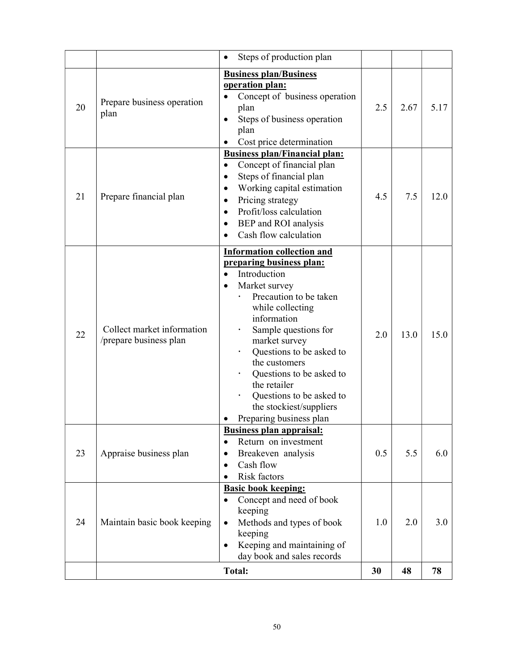|    |                                                      | Steps of production plan<br>$\bullet$                                                                                                                                                                                                                                                                                                                                                        |     |      |      |
|----|------------------------------------------------------|----------------------------------------------------------------------------------------------------------------------------------------------------------------------------------------------------------------------------------------------------------------------------------------------------------------------------------------------------------------------------------------------|-----|------|------|
| 20 | Prepare business operation<br>plan                   | <b>Business plan/Business</b><br>operation plan:<br>Concept of business operation<br>plan<br>Steps of business operation<br>$\bullet$<br>plan<br>Cost price determination                                                                                                                                                                                                                    | 2.5 | 2.67 | 5.17 |
| 21 | Prepare financial plan                               | <b>Business plan/Financial plan:</b><br>Concept of financial plan<br>$\bullet$<br>Steps of financial plan<br>Working capital estimation<br>$\bullet$<br>Pricing strategy<br>$\bullet$<br>Profit/loss calculation<br>$\bullet$<br>BEP and ROI analysis<br>$\bullet$<br>Cash flow calculation<br>$\bullet$                                                                                     | 4.5 | 7.5  | 12.0 |
| 22 | Collect market information<br>/prepare business plan | <b>Information collection and</b><br>preparing business plan:<br>Introduction<br>Market survey<br>$\bullet$<br>Precaution to be taken<br>while collecting<br>information<br>Sample questions for<br>market survey<br>Questions to be asked to<br>the customers<br>Questions to be asked to<br>the retailer<br>Questions to be asked to<br>the stockiest/suppliers<br>Preparing business plan | 2.0 | 13.0 | 15.0 |
| 23 | Appraise business plan                               | <b>Business plan appraisal:</b><br>Return on investment<br>$\bullet$<br>Breakeven analysis<br>٠<br>Cash flow<br>$\bullet$<br>Risk factors                                                                                                                                                                                                                                                    | 0.5 | 5.5  | 6.0  |
| 24 | Maintain basic book keeping                          | <b>Basic book keeping:</b><br>Concept and need of book<br>$\bullet$<br>keeping<br>Methods and types of book<br>$\bullet$<br>keeping<br>Keeping and maintaining of<br>$\bullet$<br>day book and sales records                                                                                                                                                                                 | 1.0 | 2.0  | 3.0  |
|    |                                                      | <b>Total:</b>                                                                                                                                                                                                                                                                                                                                                                                | 30  | 48   | 78   |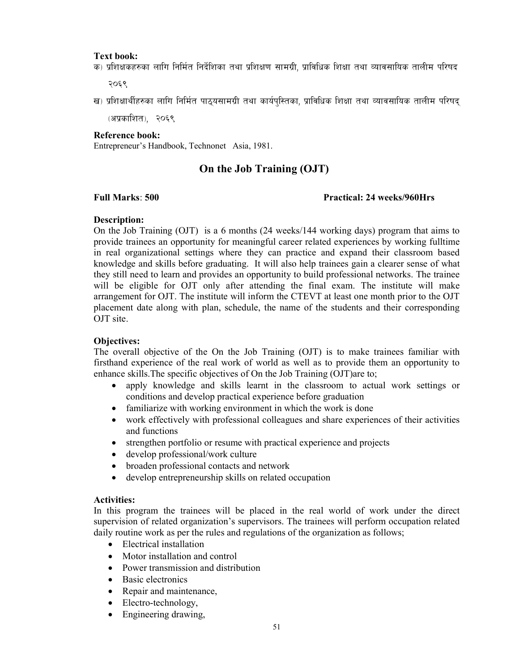#### Text book:

क) प्रशिक्षकहरुका लागि निर्मित निर्देशिका तथा प्रशिक्षण सामग्री, प्राविधिक शिक्षा तथा व्यावसायिक तालीम परिषद

२०६९

ख) प्रशिक्षार्थीहरुका लागि निर्मित पाठयसामग्री तथा कार्यपस्तिका. प्राविधिक शिक्षा तथा व्यावसायिक तालीम परिषद

(अप्रकाशित), २०६९

### Reference book:

Entrepreneur's Handbook, Technonet Asia, 1981.

### On the Job Training (OJT)

### Full Marks: 500 Practical: 24 weeks/960Hrs

### Description:

On the Job Training (OJT) is a 6 months (24 weeks/144 working days) program that aims to provide trainees an opportunity for meaningful career related experiences by working fulltime in real organizational settings where they can practice and expand their classroom based knowledge and skills before graduating. It will also help trainees gain a clearer sense of what they still need to learn and provides an opportunity to build professional networks. The trainee will be eligible for OJT only after attending the final exam. The institute will make arrangement for OJT. The institute will inform the CTEVT at least one month prior to the OJT placement date along with plan, schedule, the name of the students and their corresponding OJT site.

### Objectives:

The overall objective of the On the Job Training (OJT) is to make trainees familiar with firsthand experience of the real work of world as well as to provide them an opportunity to enhance skills.The specific objectives of On the Job Training (OJT)are to;

- apply knowledge and skills learnt in the classroom to actual work settings or conditions and develop practical experience before graduation
- familiarize with working environment in which the work is done
- work effectively with professional colleagues and share experiences of their activities and functions
- strengthen portfolio or resume with practical experience and projects
- develop professional/work culture
- broaden professional contacts and network
- develop entrepreneurship skills on related occupation

#### Activities:

In this program the trainees will be placed in the real world of work under the direct supervision of related organization's supervisors. The trainees will perform occupation related daily routine work as per the rules and regulations of the organization as follows;

- Electrical installation
- Motor installation and control
- Power transmission and distribution
- Basic electronics
- Repair and maintenance,
- Electro-technology,
- Engineering drawing,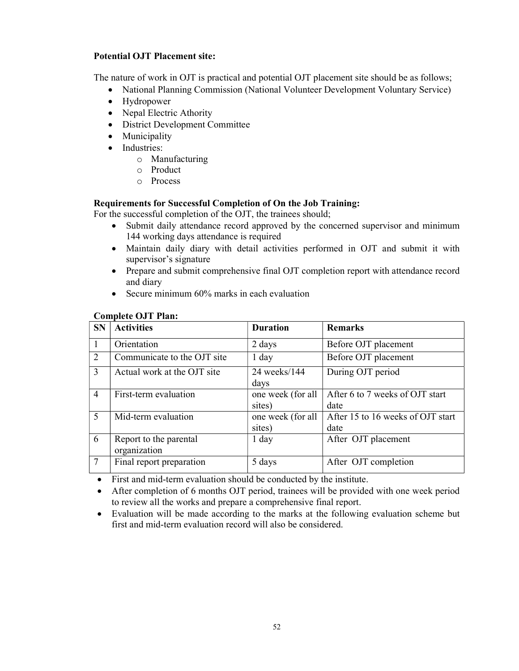### Potential OJT Placement site:

The nature of work in OJT is practical and potential OJT placement site should be as follows;

- National Planning Commission (National Volunteer Development Voluntary Service)
- Hydropower
- Nepal Electric Athority
- District Development Committee
- Municipality
- Industries:
	- o Manufacturing
	- o Product
	- o Process

### Requirements for Successful Completion of On the Job Training:

For the successful completion of the OJT, the trainees should;

- Submit daily attendance record approved by the concerned supervisor and minimum 144 working days attendance is required
- Maintain daily diary with detail activities performed in OJT and submit it with supervisor's signature
- Prepare and submit comprehensive final OJT completion report with attendance record and diary
- Secure minimum 60% marks in each evaluation

#### Complete OJT Plan:

| <b>SN</b>      | <b>Activities</b>                      | <b>Duration</b>             | <b>Remarks</b>                            |
|----------------|----------------------------------------|-----------------------------|-------------------------------------------|
|                | Orientation                            | 2 days                      | Before OJT placement                      |
| $\overline{2}$ | Communicate to the OJT site            | $1$ day                     | Before OJT placement                      |
| 3              | Actual work at the OJT site            | 24 weeks/144<br>days        | During OJT period                         |
| $\overline{4}$ | First-term evaluation                  | one week (for all<br>sites) | After 6 to 7 weeks of OJT start<br>date   |
| 5              | Mid-term evaluation                    | one week (for all<br>sites) | After 15 to 16 weeks of OJT start<br>date |
| 6              | Report to the parental<br>organization | $1$ day                     | After OJT placement                       |
| -7             | Final report preparation               | 5 days                      | After OJT completion                      |

First and mid-term evaluation should be conducted by the institute.

- After completion of 6 months OJT period, trainees will be provided with one week period to review all the works and prepare a comprehensive final report.
- Evaluation will be made according to the marks at the following evaluation scheme but first and mid-term evaluation record will also be considered.